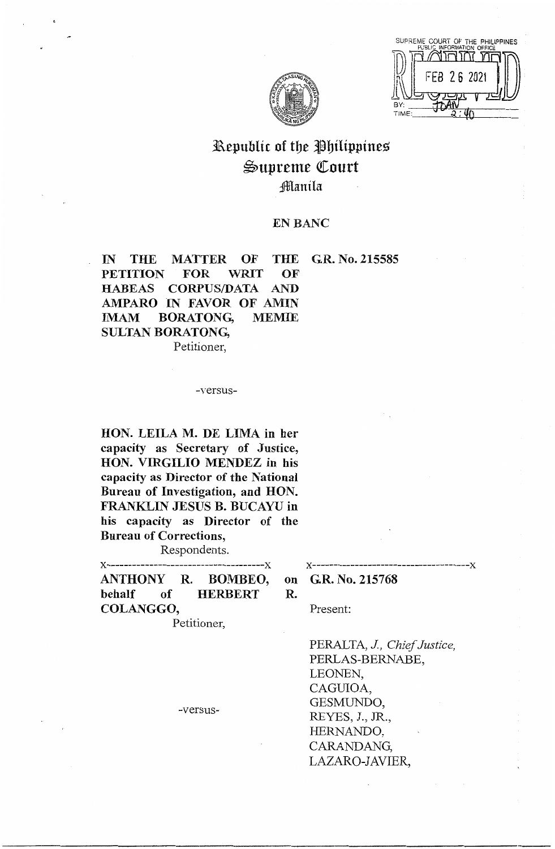SUPREME COURT OF THE PHILIPPINES חת זחורוו FEB 26 202 **BY** TIME



# Republic of the Philippines ~upreme Qtourt ;ffianila

# EN BANC

IN THE MATTER OF THE G.R. No. 215585 PETITION FOR WRIT OF HABEAS CORPUS/DATA AND AMPARO IN FAVOR OF AMIN IMAM BORATONG, MEMIE SULTAN BORATONG, Petitioner,

#### -versus-

**HON. LEILA M. DE LIMA in her ca pa city as Secretary of Justice, HON. VIRGILIO MENDEZ in his capacity as Director of the National Bureau of Investigation, and HON. FRANKLIN JESUS B. BUCAYU in his capacity as Director of the Bureau of Corrections,** 

Respondents.

**x-------------------------------------x x-------------------------------------x ANTHONY R. BOMBEO, behalf of HERBERT COLANGGO,** 

Petitioner,

**on GR. No. 215768 R.**  Present:

> PERALTA, *J, Chief Justice,*  PERLAS-BERNABE, LEONEN, CAGUIOA, GESMUNDO, REYES, J., JR., HERNANDO, CARANDANG, LAZARO-JAVIER,

-versus-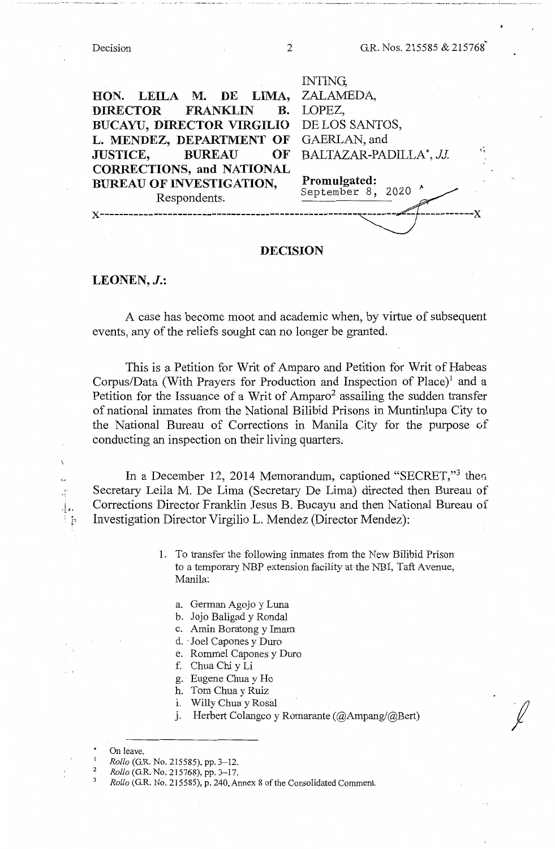... ------ ----. ------------ -- . --------------------------- \_\_\_\_\_\_\_\_\_\_\_\_\_\_\_\_\_\_\_ [ \_\_\_\_ --------

|                                          | INTING,                                        |
|------------------------------------------|------------------------------------------------|
| HON. LEILA M. DE LIMA, ZALAMEDA,         |                                                |
| DIRECTOR FRANKLIN B. LOPEZ,              |                                                |
| BUCAYU, DIRECTOR VIRGILIO DE LOS SANTOS, |                                                |
| L. MENDEZ, DEPARTMENT OF GAERLAN, and    |                                                |
| <b>JUSTICE, BUREAU</b><br>OF             | $\tilde{\mathbf{u}}$<br>BALTAZAR-PADILLA*, JJ. |
| <b>CORRECTIONS, and NATIONAL</b>         |                                                |
| <b>BUREAU OF INVESTIGATION,</b>          | Promulgated:<br>September 8, 2020 ^            |
| Respondents.                             |                                                |
|                                          |                                                |
|                                          |                                                |

# **DECISION**

# **LEONEN,J.:**

A case has become moot and academic when, by virtue of subsequent events, any of the reliefs sought can no longer be granted.

This is a Petition for Writ of Amparo and Petition for Writ of Habeas Corpus/Data (With Prayers for Production and Inspection of Place)<sup>1</sup> and a Petition for the Issuance of a Writ of Amparo<sup>2</sup> assailing the sudden transfer of national inmates from the National Bilibid Prisons in Muntinlupa City to the National Bureau of Corrections in Manila City for the purpose of conducting an inspection on their living quarters;

In a December 12, 2014 Memorandum, captioned "SECRET,"<sup>3</sup> then Secretary Leila M. De Lima (Secretary De Lima) directed then Bureau of Corrections Director Franklin Jesus B. Bucayu and then National Bureau of Investigation Director Virgilio L. Mendez (Director Mendez):

> 1. To transfer the following inmates from the New Bilibid Prison to a temporary NBP extension facility at the NBI, Taft Avenue, Manila:

- a. German Agojo y Luna
- b. Jojo Baligad y Rondal
- c. Amin Boratong y Imam
- d. Joel Capones y Duro
- e. Rommel Capones y Duro
- f. Chua Chi y Li
- g. Eugene Chua y Ho
- h. Tom Chua y Ruiz
- 1. Willy Chua y Rosal
- J. Herbert Colangco y Romarante (@Ampang/@Bert)

*f* 

 $\mathbb{F}_p$ 

<sup>3</sup>*Rollo* (G.R. No. 215585), p. 240, Annex 8 of the Consolidated Comment.

<sup>\*</sup> On leave.

<sup>&</sup>lt;sup>1</sup> Rollo (G.R. No. 215585), pp. 3–12.<br><sup>2</sup> Rollo (G.R. No. 215768), pp. 3–17.

<sup>2</sup> *Rollo* (G.R. No. 215768), pp. 3-17.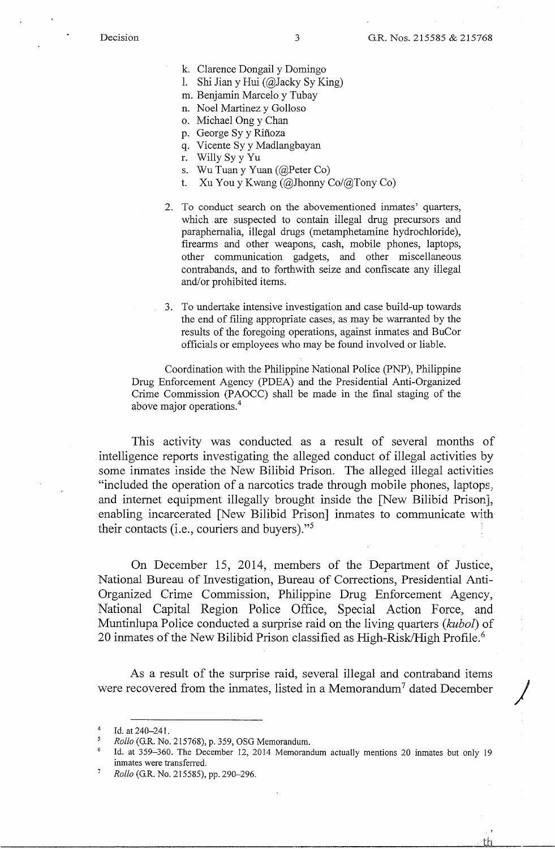- k. Clarence Dongail y Domingo
- 1. Shi Jian y Hui (@Jacky Sy King)
- m. Benjamin Marcelo y Tubay
- n. Noel Martinez y Golloso
- o. Michael Ong y Chan
- p. George Sy y Rifioza
- q. Vicente Sy y Madlangbayan
- r. Willy Sy y Yu
- s. Wu Tuan y Yuan (@Peter Co)
- t. Xu You y Kwang (@Jhonny Co/@Tony Co)
- 2. To conduct search on the abovementioned inmates' quarters, which are suspected to contain illegal drug precursors and paraphernalia, illegal drugs (metamphetamine hydrochloride), firearms and other weapons, cash, mobile phones, laptops, other communication gadgets, and other miscellaneous contrabands, and to forthwith seize and confiscate any illegal and/or prohibited items.
- 3. To undertake intensive investigation and case build-up towards the end of filing appropriate cases, as may be warranted by the results of the foregoing operations, against inmates and BuCor officials or employees who may be found involved or liable.

Coordination with the Philippine National Police (PNP), Philippine Drug Enforcement Agency (PDEA) and the Presidential Anti-Organized Crime Commission (PAOCC) shall be made in the final staging of the above major operations.<sup>4</sup>

This activity was conducted as a result of several months of intelligence reports investigating the alleged conduct of illegal activities by some inmates inside the New Bilibid Prison. The alleged illegal activities "included the operation of a narcotics trade through mobile phones, laptops, and internet equipment illegally brought inside the [New Bilibid Prison], enabling incarcerated [New Bilibid Prison] inmates to communicate with their contacts (i.e., couriers and buyers)."<sup>5</sup>

On December 15, 2014, members of the Department of Justice, National Bureau of Investigation, Bureau of Corrections, Presidential Anti-Organized Crime Commission, Philippine Drug Enforcement Agency, National Capital Region Police Office, Special Action Force, and Muntinlupa Police conducted a surprise raid on the living quarters *(kubol)* of 20 inmates of the New Bilibid Prison classified as High-Risk/High Profile.<sup>6</sup>

As a result of the surprise raid, several illegal and contraband items were recovered from the inmates, listed in a Memorandum<sup>7</sup> dated December

 $\dot{\rm th}$ 

Id. at 240-241.

*<sup>5</sup> Rollo* (G.R. No. 215768), p. 359, OSG Memorandum.

<sup>6</sup>Id. at 359-360. The December 12, 2014 Memorandum actually mentions 20 inmates but only 19 inmates were transferred.

<sup>7</sup>*Rollo* (G.R. No. 215585), pp. 290-296.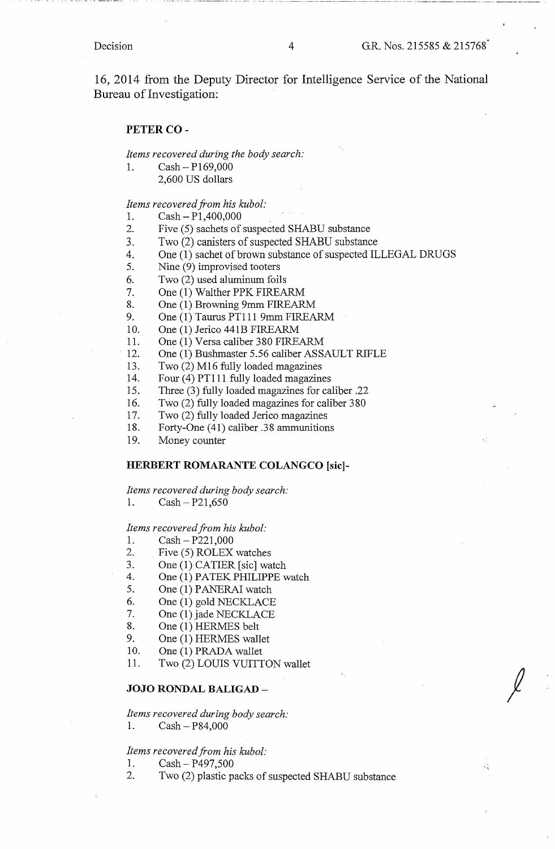16, 2014 from the Deputy Director for Intelligence Service of the National Bureau of Investigation:

#### **PETER CO-**

*Items recovered during the body search:* 

1. Cash-P169,000 2,600 US dollars

*Items recovered from his kubol:* 

- 1. Cash-Pl,400,000
- 2. Five (5) sachets of suspected SHABU substance
- 3. Two (2) canisters of suspected SHABU substance
- 4. One (1) sachet of brown substance of suspected ILLEGAL DRUGS
- 5. Nine (9) improvised tooters
- 6. Two (2) used aluminum foils
- 7. One (1) Walther PPK FIREARM
- 8. One (1) Browning 9mm FIREARM
- 9. One (1) Taurus PT111 9mm FIREARM
- 10. One (1) Jerico 441B FIREARM
- 11. One (1) Versa caliber 380 FIREARM
- 12. One (1) Bushmaster 5.56 caliber ASSAULT RIFLE
- 13. Two (2) M16 fully loaded magazines
- 14. Four (4) PT111 fully loaded magazines
- 15. Three (3) fully loaded magazines for caliber .22
- 16. Two (2) fully loaded magazines for caliber 380
- 17. Two (2) fully loaded Jerico magazines
- 18. Forty-One (41) caliber .38 ammunitions
- 19. Money counter

#### **HERBERT ROMARANTE COLANGCO [sic]-**

#### *Items recovered during body search:*

1. Cash-P21,650

# *Items recovered from his kubol:*

- 1.  $Cash P221,000$
- 2. Five (5) ROLEX watches
- 3. One (1) CATIER [sic] watch
- 4. One (1) PATEK PHILIPPE watch
- 5. One (1) PANERAI watch
- 6. One (1) gold NECKLACE
- 7. One (1) jade NECKLACE
- 8. One (1) HERMES belt
- 9. One (1) HERMES wallet
- 
- 10. One (1) PRADA wallet
- 11. Two (2) LOUIS VUITTON wallet

#### **JOJO RONDAL BALIGAD** -

*Items recovered during body search:*  1. Cash - P84,000

#### *Items recovered from his kubol:*

1. Cash - P497,500

2. Two (2) plastic packs of suspected SHABU substance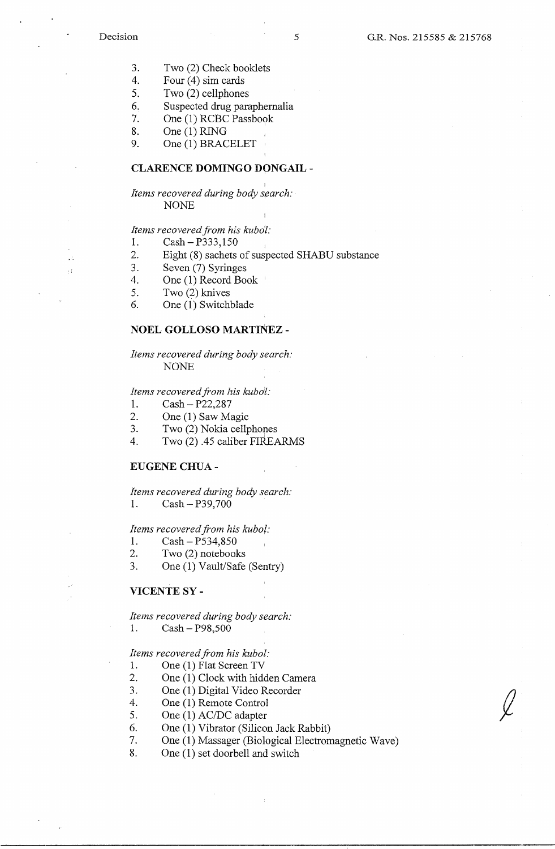ΥÊ

- 3. Two (2) Check booklets
- 4. Four (4) sim cards
- 5. Two (2) cellphones
- 6. Suspected drug paraphernalia
- 7. One (1) RCBC Passbook
- 8. One (1) RING
- 9. One (1) BRACELET

### **CLARENCE DOMINGO DONGAIL** -

# I *Items recovered during body s,earch:*  NONE

# *Items recovered from his kubo1:*

- 1. Cash-P333,150
- 2. Eight (8) sachets of suspected SHABU substance
- 3. Seven (7) Syringes
- 4. One (1) Record Book '
- 5. Two (2) knives
- 6. One (1) Switchblade

## **NOEL GOLLOSO MARTINEZ** -

*Items recovered during body search:*  NONE

#### *Items recovered from his kubo7:*

1. Cash - P22,287

- 2. One (1) Saw Magic
- 3. Two (2) Nokia cellphones
- 4. Two (2) .45 caliber FIREARMS

#### **EUGENE CHUA** -

*Items recovered during body search:* 

1. Cash-P39,700

#### *Items recovered from his kubo/:*

- 1. Cash P534,850
- 2. Two (2) notebooks
- 3. One (1) Vault/Safe (Sentry)

#### **VICENTE SY-**

*Items recovered during body search:* 

1. Cash - P98,500

# *Items recovered from his kubol:*

- 1. One (1) Flat Screen TV
- 2. One (1) Clock with hidden Camera
- 3. One (1) Digital Video Recorder
- 4. One (1) Remote Control
- 5. One (1) AC/DC adapter
- 6. One (1) Vibrator (Silicon Jack Rabbit)
- 7. One (1) Massager (Biological Electromagnetic Wave)
- 8. One (1) set doorbell and switch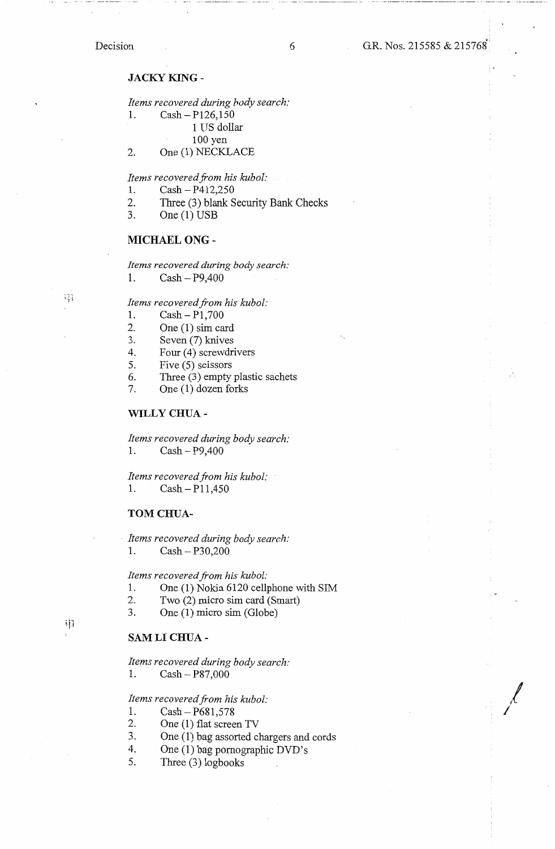# Decision

# **JACKY KING-**

*Items recovered during body search:* 

1. Cash-P126,150

1 US dollar

100 yen

2. One (1) NECKLACE

*Items recovered from his kubol:* 

- 1. Cash-P412,250
- 2. Three (3) blank Security Bank Checks
- 3. One (1) USB

### **MICHAEL ONG** -

*Items recovered during body search:* 

1. Cash- P9,400

*Items recovered from his kubol:* 

- 1. Cash-Pl,700
- 2. One (1) sim card
- 
- 3. Seven (7) knives<br>4. Four (4) screwdri Four (4) screwdrivers
- 5. Five (5) scissors
- 6. Three (3) empty plastic sachets<br>7. One (1) dozen forks
- One (1) dozen forks

#### **WILLY CHUA-**

*Items recovered during body search:*  1. Cash-P9,400

*Items recovered from his kubol:*  1.  $Cash - P11,450$ 

**TOM CHUA-**

· *Items recovered during body search:*  1. Cash - P30,200

*Items recovered from his kubol:* 

- 1. One (1) Nokia 6120 cellphone with SIM
- 2. Two (2) micro sim card (Smart)
- 3. One (1) micro sim (Globe)

# **SAM LI CHUA-**

*Items recovered during body search:*  1. Cash-P87,000

*Items recovered from his kubol:* 

1.  $Cash - P681,578$ <br>2. One (1) flat scree

- One (1) flat screen TV
- 3. One (1) bag assorted chargers and cords
- 4. One (I) bag pornographic DVD's
- 5. Three (3) logbooks

 $\cdot$  [ ]

 $\frac{1}{2}$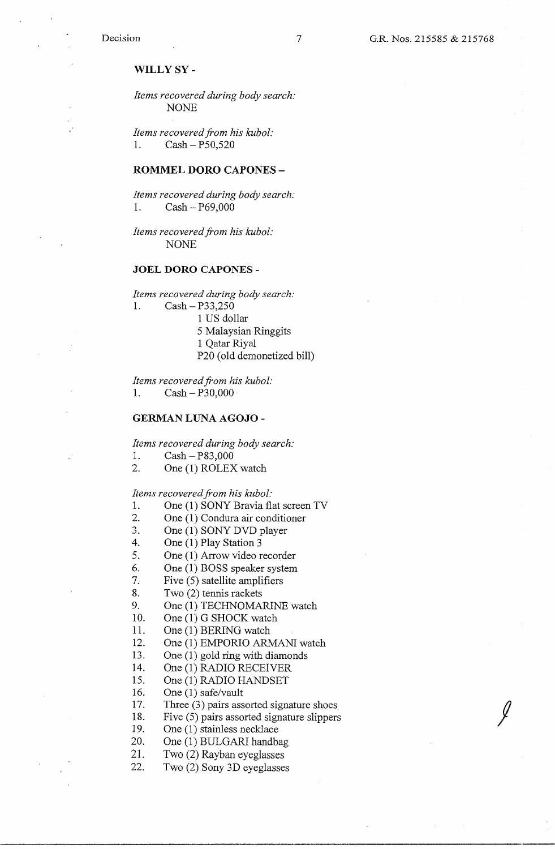# **WILLY SY-**

*Items recovered during body search:*  NONE

*Items recovered from his kubol:*  1. Cash - P50,520

#### **ROMMEL DORO CAPONES** -

*Items recovered during body search:*  1. Cash-P69,000

*Items recovered from his kubol:*  NONE

### **JOEL DORO CAPONES** -

*Items recovered during body search:* 

1. Cash-P33,250

- 1 US dollar
- 5 Malaysian Ringgits
- 1 Qatar Riyal
- P20 (old demonetized bill)

*Items recovered from his kubol:*  1. Cash-P30,000

#### **GERMAN LUNA AGOJO** -

*Items recovered during body search:* 

- 1.  $Cash P83,000$
- 2. One (1) ROLEX watch

#### *Items recovered from his kubol:*

- 1. One (1) SONY Bravia flat screen TV
- 2. One (1) Condura air conditioner
- 3. One (1) SONY DVD player
- 4. One (1) Play Station 3
- 5. One (1) Arrow video recorder
- 6. One (1) BOSS speaker system
- 7. Five (5) satellite amplifiers
- 8. Two (2) tennis rackets
- 9. One (1) TECHNOMARINE watch
- 10. One (1) G SHOCK watch
- 11. One (1) BERING watch
- 12. One (1) EMPORIO ARMANI watch
- 13. One (1) gold ring with diamonds
- 14. One (1) RADIO RECEIVER
- 15. One (1) RADIO HANDSET
- 16. One (1) safe/vault
- 17. Three (3) pairs assorted signature shoes
- 18. Five (5) pairs assorted signature slippers
- 19. One (1) stainless necklace
- 20. One (1) BULGARI handbag
- 21. Two (2) Rayban eyeglasses
- 22. Two (2) Sony 3D eyeglasses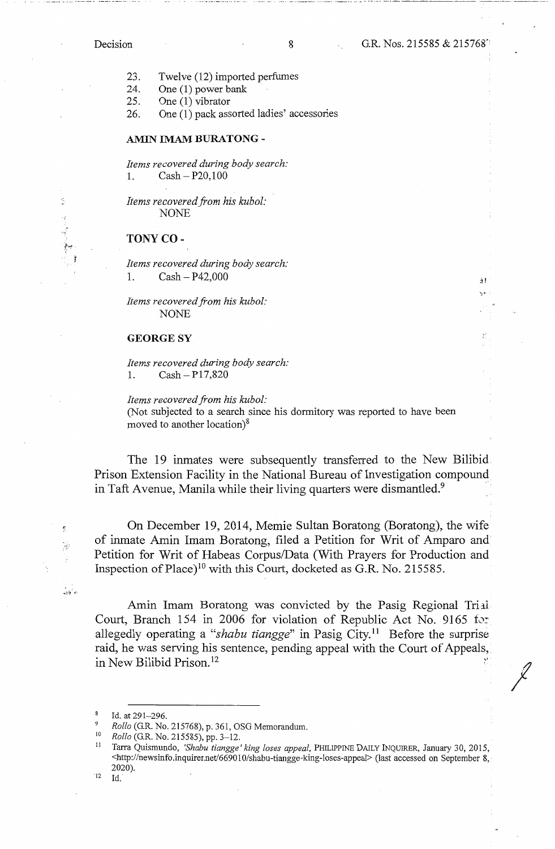Ś

 $\mathcal{L}$ 

 $\frac{1}{\sqrt{2}}$ 

άf

*I* 

23. Twelve (12) imported perfumes

24. One (1) power bank

25. One (1) vibrator

26. One (1) pack assorted ladies' accessories

#### **AMIN IMAM BURATONG** -

*Items recovered during body search:*  1. Cash-P20,100

*Items recovered from his kubol:*  NONE

# **TONY CO-**

*Items recovered during body search:*  1.  $Cash - P42,000$ 

*Items recovered from his kubol:*  NONE

# **GEORGESY**

*Items recovered during body search:*  1.  $Cash - P17,820$ 

*Items recovered from his kubol:* 

(Not subjected to a search since his dormitory was reported to have been moved to another location)<sup>8</sup>

The 19 inmates were subsequently transferred to the New Bilibid Prison Extension Facility in the National Bureau of Investigation compound in Taft Avenue, Manila while their living quarters were dismantled. $9$ 

On December 19, 2014, Memie Sultan Boratong (Boratong), the wife of inmate Amin Imam Boratong, filed a Petition for Writ of Amparo and Petition for Writ of Habeas Corpus/Data (With Prayers for Production and Inspection of Place)<sup>10</sup> with this Court, docketed as G.R. No. 215585.

Amin Imam Boratong was convicted by the Pasig Regional Trial Court, Branch 154 in 2006 for violation of Republic Act No. 9165 for allegedly operating a *"shabu tiangge"* in Pasig City. 11 Before the surprise raid, he was serving his sentence, pending appeal with the Court of Appeals, in New Bilibid Prison.<sup>12</sup>

12 Id.

<sup>&</sup>lt;sup>8</sup> Id. at 291-296.

<sup>9</sup>*Rollo* (G.R. No. 215768), p. 361, OSG Memorandum. 10 *Rollo* (G.R. No. 215585), pp. 3-12.

<sup>11</sup> Tarra Quismundo, *'Shabu tiangge' king loses appeal,* PHILIPPINE DAILY INQUIRER, January 30, 2015, <http:/ /newsinfo.inquirer.net/669010/shabu-tiangge-king-loses-appeal> (last accessed on September 8, 2020).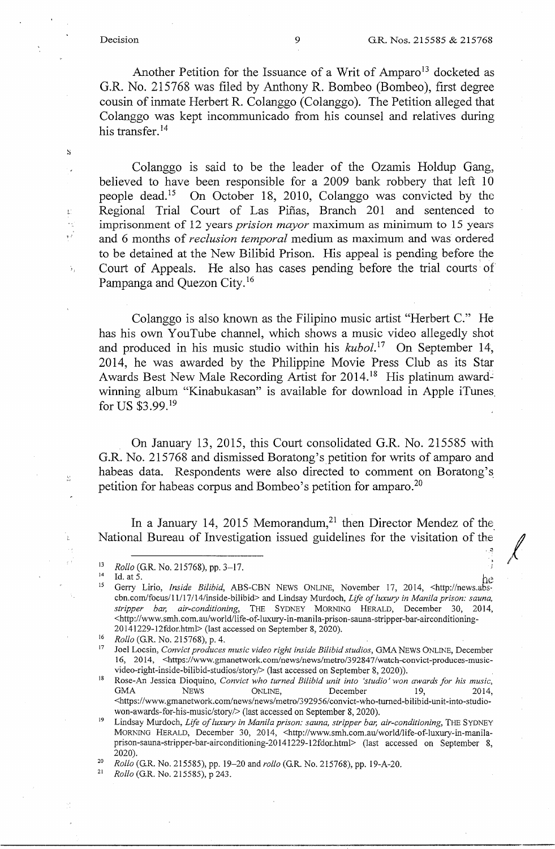S

 $\sim$ 

 $\frac{\zeta_2}{\delta d}$ 

. a

1

*I I* 

Another Petition for the Issuance of a Writ of Amparo<sup>13</sup> docketed as G.R. No. 215768 was filed by Anthony R. Bombeo (Bombeo), first degree cousin of inmate Herbert R. Colanggo (Colanggo ). The Petition alleged that Colanggo was kept incommunicado from his counsel and relatives during his transfer.<sup>14</sup>

Colanggo is said to be the leader of the Ozamis Holdup Gang, believed to have been responsible for a 2009 bank robbery that left 10 people dead. 15 On October 18, 2010, Colanggo was convicted by the <sup>L</sup>Regional Trial Court of Las Pifias, Branch 201 and sentenced to imprisonment of 12 years *prision mayor* maximum as minimum to 15 years and 6 months of *reclusion temporal* medium as maximum and was ordered to be detained at the New Bilibid Prison. His appeal is pending before the Court of Appeals. He also has cases pending before the trial courts of Pampanga and Quezon City. 16

Colanggo is also known as the Filipino music artist "Herbert C." He has his own YouTube channel, which shows a music video allegedly shot and produced in his music studio within his *kubol*.<sup>17</sup> On September 14, 2014, he was awarded by the Philippine Movie Press Club as its Star Awards Best New Male Recording Artist for 2014.<sup>18</sup> His platinum awardwinning album "Kinabukasan" is available for download in Apple iTunes. for US \$3.99. <sup>19</sup>

On January 13, 2015, this Court consolidated G.R. No. 215585 with G.R. No. 215768 and dismissed Boratong's petition for writs of amparo and habeas data. Respondents were also directed to comment on Boratong's petition for habeas corpus and Bombeo's petition for amparo.<sup>20</sup>

In a January 14, 2015 Memorandum,<sup>21</sup> then Director Mendez of the National Bureau of Investigation issued guidelines for the visitation of the

won-awards-for-his-music/story/> (last accessed on September 8, 2020). 19 Lindsay Murdoch, *Life of luxury in Manila prison: sauna, stripper bar, air-conditioning,* THE SYDNEY MORNING HERALD, December 30, 2014, <http://www.smh.com.au/world/life-of-luxury-in-manilaprison-sauna-stripper-bar-airconditioning-20141229-12fdor.html> (last accessed on September 8, 2020). 20 *Rollo* (G.R. No. 215585), pp. 19-20 and *rollo* (G.R. No. 215768), pp. 19-A-20. 21 *Rollo* (G.R. No. 215585), p 243.

<sup>&</sup>lt;sup>13</sup> *Rollo* (G.R. No. 215768), pp. 3–17.

<sup>14</sup> Id. at 5. he 15 Gerry Lirio, *Inside Bi/ibid,* ABS-CBN NEWS ONLINE, November 17, 2014, <http://news.abscbn.com/focus/11/17/14/inside-bilibid> and Lindsay Murdoch, *Life of luxury in Manila prison: sauna, stripper bar, air-conditioning,* THE SYDNEY MORNING HERALD, December 30, 2014, <http://www.smh.com.au/world/life-of-luxury-in-manila-prison-sauna-stripper-bar-airconditioning-20141229-12fdor.html> (last accessed on September 8, 2020).<br><sup>16</sup> *Rollo* (G.R. No. 215768), p. 4.<br><sup>17</sup> **Ioel Lossin** Comvist produces music video right inside Bilibid

<sup>17</sup>Joel Locsin, *Convict produces music video right inside Bi/ibid studios,* GMA NEWS ONLINE, December 16, 2014, <https://www.gmanetwork.com/news/news/metro/392847/watch-convict-produces-musicvideo-right-inside-bilibid-studios/story/> (last accessed on September 8, 2020)).

<sup>&</sup>lt;sup>18</sup> Rose-An Jessica Dioquino, *Convict who turned Bilibid unit into 'studio' won awards for his music*, GMA NEWS ONLINE, December 19, 2014, <https://www.gmanetwork.com/news/news/metro/392956/convict-who-tumed-bilibid-unit-into-studio-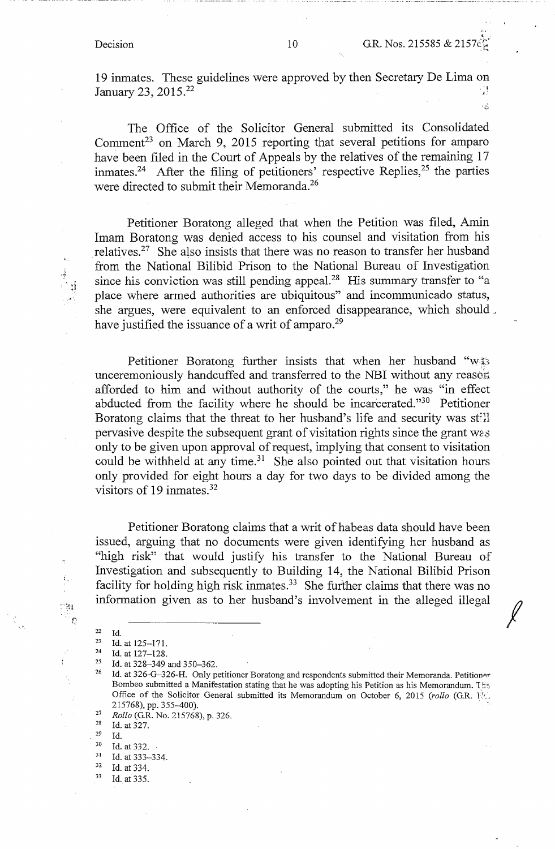··•

ای د

*I* 

19 inmates. These guidelines were approved by then Secretary De Lima on January 23, 2015.<sup>22</sup> *January 23, 2015.<sup>22</sup>* 

The Office of the Solicitor General submitted its Consolidated Comment<sup>23</sup> on March 9, 2015 reporting that several petitions for amparo have been filed in the Court of Appeals by the relatives of the remaining 17 inmates.<sup>24</sup> After the filing of petitioners' respective Replies,<sup>25</sup> the parties were directed to submit their Memoranda.<sup>26</sup>

Petitioner Boratong alleged that when the Petition was filed, Amin Imam Boratong was denied access to his counsel and visitation from his relatives.<sup>27</sup> She also insists that there was no reason to transfer her husband from the National Bilibid Prison to the National Bureau of Investigation since his conviction was still pending appeal.<sup>28</sup> His summary transfer to "a place where armed authorities are ubiquitous" and incommunicado status, she argues, were equivalent to an enforced disappearance, which should. have justified the issuance of a writ of amparo.<sup>29</sup>

Petitioner Boratong further insists that when her husband "w\\$3 unceremoniously handcuffed and transferred to the NBI without any reason afforded to him and without authority of the courts," he was "in effect abducted from the facility where he should be incarcerated."30 Petitioner Boratong claims that the threat to her husband's life and security was still pervasive despite the subsequent grant of visitation rights since the grant w2s only to be given upon approval of request, implying that consent to visitation could be withheld at any time. $31$  She also pointed out that visitation hours only provided for eight hours a day for two days to be divided among the visitors of 19 inmates. $32$ 

Petitioner Boratong claims that a writ of habeas data should have been issued, arguing that no documents were given identifying her husband as "high risk" that would justify his transfer to the National Bureau of Investigation and subsequently to Building 14, the National Bilibid Prison facility for holding high risk inmates.<sup>33</sup> She further claims that there was no information given as to her husband's involvement in the alleged illegal

ាក្ស

•• ·-11'·

<sup>22</sup> Id.<br>
23 Id. at 125-171.<br>
24 Id. at 127-128.<br>
25 Id. at 328-349 and 350-362.<br>
<sup>26</sup> Id. at 326-G-326-H. Only petitioner Boratong and respondents submitted their Memoranda. Petitioner. Bombeo submitted a Manifestation stating that he was adopting his Petition as his Memorandum.  $T_{\text{eff}}$ Office of the Solicitor General submitted its Memorandum on October 6, 2015 (rollo (G.R. 116). 215768), pp. 355-400).<br><sup>27</sup> *Rollo* (G.R. No. 215768), p. 326.<br><sup>28</sup> Id. at 327.

<sup>29</sup> Id.<br>
30 Id. at 332.<br>
31 Id. at 333–334.<br>
32 Id. at 334.<br>
33 Id. at 335.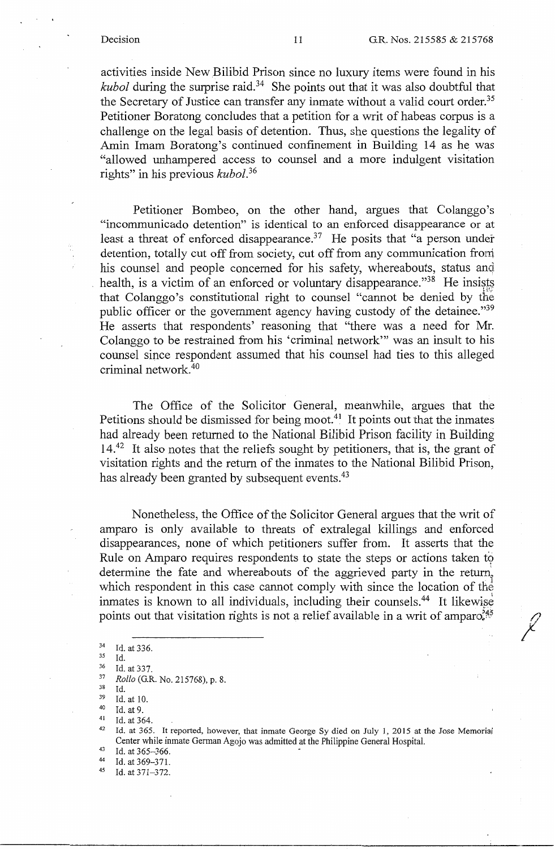*17 I* 

activities inside New Bilibid Prison since no luxury items were found in his *kubol* during the surprise raid. 34 She points out that it was also doubtful that the Secretary of Justice can transfer any inmate without a valid court order.<sup>35</sup> Petitioner Boratong concludes that a petition for a writ of habeas corpus is a challenge on the legal basis of detention. Thus, she questions the legality of Amin Imam Boratong's continued confinement in Building 14 as he was "allowed unhampered access to counsel and a more indulgent visitation rights" in his previous *kubol. <sup>36</sup>*

Petitioner Bombeo, on the other hand, argues that Colanggo's "incommunicado detention" is identical to an enforced disappearance or at least a threat of enforced disappearance.<sup>37</sup> He posits that "a person under detention, totally cut off from society, cut off from any communication from his counsel and people concerned for his safety, whereabouts, status and health, is a victim of an enforced or voluntary disappearance."<sup>38</sup> He insists that Colanggo's constitutional right to counsel "cannot be denied by the public officer or the government agency having custody of the detainee."<sup>39</sup> He asserts that respondents' reasoning that "there was a need for Mr. Colanggo to be restrained from his 'criminal network"' was an insult to his counsel since respondent assumed that his counsel had ties to this alleged criminal network. 40

The Office of the Solicitor General, meanwhile, argues that the Petitions should be dismissed for being moot.<sup>41</sup> It points out that the inmates had already been returned to the National Bilibid Prison facility in Building 14<sup>.42</sup> It also notes that the reliefs sought by petitioners, that is, the grant of visitation rights and the return of the inmates to the National Bilibid Prison, has already been granted by subsequent events.<sup>43</sup>

Nonetheless, the Office of the Solicitor General argues that the writ of amparo is only available to threats of extralegal killings and enforced disappearances, none of which petitioners suffer from. It asserts that the Rule on Amparo requires respondents to state the steps or actions taken to determine the fate and whereabouts of the aggrieved party in the return, which respondent in this case cannot comply with since the location of the inmates is known to all individuals, including their counsels.<sup>44</sup> It likewise points out that visitation rights is not a relief available in a writ of amparo $345$ 

44 Id. at  $369 - 371$ .<br>45 Id. at  $371 - 372$ .

 $^{34}$  Id. at 336.<br> $^{35}$  Id.

<sup>35</sup> Id.

<sup>36</sup> Id. at 337. 37 *Rollo* (G.R. No. 215768), p. 8.

<sup>&</sup>lt;sup>38</sup> Id.<br><sup>39</sup> Id. at 10.<br><sup>40</sup> Id. at 364.<br><sup>41</sup> Id. at 365. It reported, however, that inmate George Sy died on July 1, 2015 at the Jose Memorial

Center while inmate German Agojo was admitted at the Philippine General Hospital.<br>
<sup>43</sup> Id. at 365–366.<br>
<sup>44</sup> Id. at 369–371.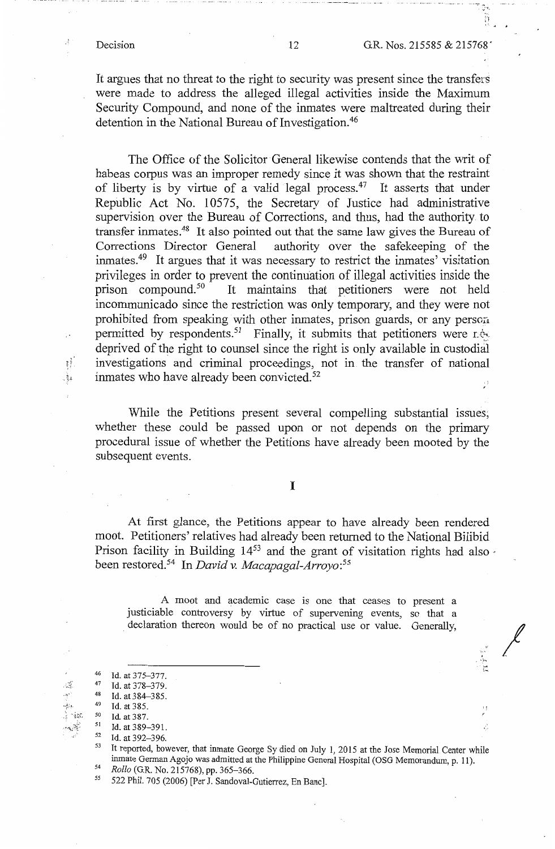ij

,.,, ' . ·.) ... -~ t....,

*I* 

It argues that no threat to the right to security was present since the transfors were made to address the alleged illegal activities inside the Maximum Security Compound, and none of the inmates were maltreated during their detention in the National Bureau of Investigation.<sup>46</sup>

The Office of the Solicitor General likewise contends that the writ of habeas corpus was an improper remedy since it was shown that the restraint of liberty is by virtue of a valid legal process.<sup>47</sup> It asserts that under Republic Act No. 10575, the Secretary of Justice had administrative supervision over the Bureau of Corrections, and thus, had the authority to transfer inmates.<sup>48</sup> It also pointed out that the same law gives the Bureau of Corrections Director General authority over the safekeeping of the inmates.49 It argues that it was necessary to restrict the inmates' visitation privileges in order to prevent the continuation of illegal activities inside the prison compound.<sup>50</sup> It maintains that petitioners were not held It maintains that petitioners were not held incommunicado since the restriction was only temporary, and they were not prohibited from speaking with other inmates, prison guards, or any person permitted by respondents.<sup>51</sup> Finally, it submits that petitioners were new deprived of the right to counsel since the right is only available in custodial  $\mathbb{R}$  investigations and criminal proceedings, not in the transfer of national  $\frac{1}{24}$  inmates who have already been convicted.<sup>52</sup>

While the Petitions present several compelling substantial issues; whether these could be passed upon or not depends on the primary procedural issue of whether the Petitions have already been mooted by the subsequent events.

I

At first glance, the Petitions appear to have already been rendered moot. Petitioners' relatives had already been returned to the National Bilibid Prison facility in Building 14<sup>53</sup> and the grant of visitation rights had also been restored.54 In *David v. Macapagal-Arroyo: <sup>55</sup>*

A moot and academic case is one that ceases to present a justiciable controversy by virtue of supervening events, so that a declaration thereon would be of no practical use or value. Generally,

ali<br>P

<sup>46</sup> Id. at 375-377.<br>
47 Id. at 378-379.<br>
48 Id. at 384-385.

<sup>&</sup>lt;sup>49</sup> Id. at 385.

<sup>&</sup>lt;sup>50</sup> Id. at 387.<br>
<sup>51</sup> Id. at 389–391.<br>
<sup>52</sup> Id. at 392–396.

It reported, however, that inmate George Sy died on July 1, 2015 at the Jose Memorial Center while inmate German Agojo was admitted at the Philippine General Hospital (OSG Memorandum, p. 11).<br>
<sup>54</sup> *Rollo* (G.R. No. 215768), pp. 365-366.<br>
522 Phil. 705 (2006) [Per J. Sandoval-Gutierrez, En Banc].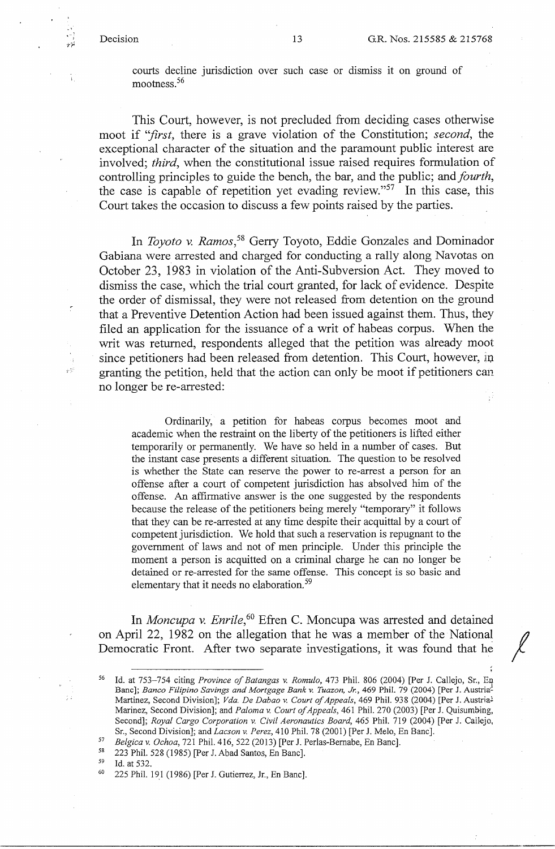$\pm5^\circ$ 

courts decline jurisdiction over such case or dismiss it on ground of mootness. 56

This Court, however, is not precluded from deciding cases otherwise moot if *''first,* there is a grave violation of the Constitution; *second,* the exceptional character of the situation and the paramount public interest are involved; *third,* when the constitutional issue raised requires formulation of controlling principles to guide the bench, the bar, and the public; and *fourth,*  the case is capable of repetition yet evading review."57 In this case, this Court takes the occasion to discuss a few points raised by the parties.

In *Toyota* v. *Ramos,58* Gerry Toyoto, Eddie Gonzales and Dominador Gabiana were arrested and charged for conducting a rally along Navotas on October 23, 1983 in violation of the Anti-Subversion Act. They moved to dismiss the case, which the trial court granted, for lack of evidence. Despite the order of dismissal, they were not released from detention on the ground that a Preventive Detention Action had been issued against them. Thus, they filed an application for the issuance of a writ of habeas corpus. When the writ was returned, respondents alleged that the petition was already moot since petitioners had been released from detention. This Court, however, in granting the petition, held that the action can only be moot if petitioners can no longer be re-arrested:

Ordinarily, a petition for habeas corpus becomes moot and academic when the restraint on the liberty of the petitioners is lifted either temporarily or permanently. We have so held in a number of cases. But the instant case presents a different situation. The question to be resolved is whether the State can reserve the power to re-arrest a person for an offense after a court of competent jurisdiction has absolved him of the offense. An affirmative answer is the one suggested by the respondents because the release of the petitioners being merely "temporary" it follows that they can be re-arrested at any time despite their acquittal by a court of competent jurisdiction. We hold that such a reservation is repugnant to the government of laws and not of men principle. Under this principle the moment a person is acquitted on a criminal charge he can no longer be detained or re-arrested for the same offense. This concept is so basic and elementary that it needs no elaboration.<sup>59</sup>

In *Moncupa v. Enrile,* 60 Efren C. Moncupa was arrested and detained on April 22, 1982 on the allegation that he was a member of the National Democratic Front. After two separate investigations, it was found that he

<sup>56</sup> Id. at 753-754 citing *Province of Batangas v. Romulo,* 473 Phil. 806 (2004) [Per J. Callejo, Sr., En Banc]; *Banco Filipino Savings and Mortgage Bank v. Tuazon, Jr.,* 469 Phil. 79 (2004) [Per J. Austria~ Martinez, Second Division]; *Vda. De Dabao v. Court of Appeals*, 469 Phil. 938 (2004) [Per J. Austria<sup>1</sup> Marinez, Second Division]; and *Paloma v. Court of Appeals,* 461 Phil. 270 (2003) [Per J. Quisumbing, Second]; *Royal Cargo Corporation v. Civil Aeronautics Board,* 465 Phil. 719 (2004) [Per J. Callejo, Sr., Second Division]; and *Lacson v. Perez*, 410 Phil. 78 (2001) [Per J. Melo, En Banc].

<sup>57</sup>*Belgica v. Ochoa,* 721 Phil. 416, 522 (2013) [Per J. Perlas-Bernabe, En Banc]. 58 223 Phil. 528 (1985) [Per J. Abad Santos, En Banc]. 59 Id. at 532. 60 225 Phil. 19.1 (1986) [Per J. Gutierrez, Jr., En Banc].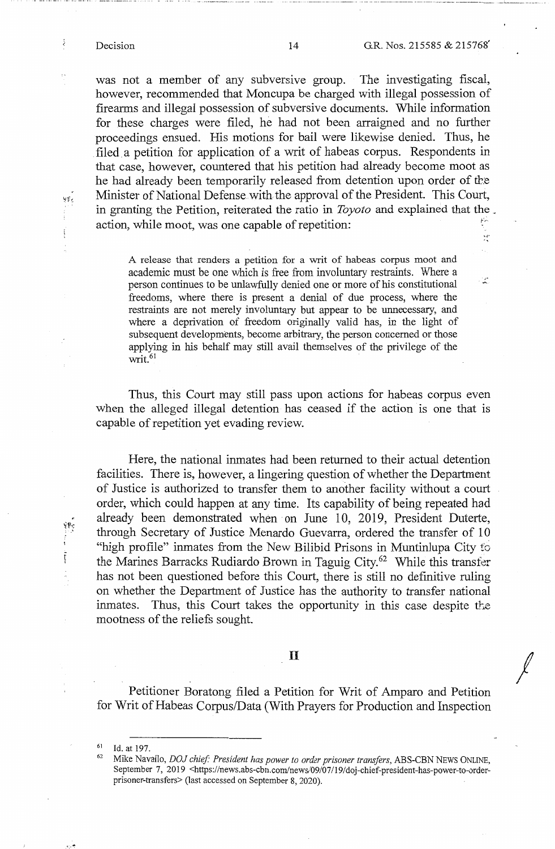$\mathcal{F}^{\mathcal{E}}_k$  .

Ľ,

*I* 

was not a member of any subversive group. The investigating fiscal, however, recommended that Moncupa be charged with illegal possession of firearms and illegal possession of subversive documents. While information for these charges were filed, he had not been arraigned and no further proceedings ensued. His motions for bail were likewise denied. Thus, he . filed. a petition for application of a writ of habeas corpus. Respondents in that case, however, countered that his petition had already become moot as he had already been temporarily released from detention upon order of the Minister of National Defense with the approval of the President. This Court, in granting the Petition, reiterated the ratio in *Toyota* and explained that the . action, while moot, was one capable of repetition:

A release that renders a petition for a writ of habeas corpus moot and academic must be one which is free from involuntary restraints. Where a person continues to be unlawfully denied one or more of his constitutional freedoms, where there is present a denial of due process, where the restraints are not merely involuntary but appear to be unnecessary, and where a deprivation of freedom originally valid has, in the light of subsequent developments, become arbitrary, the person concerned or those applying in his behalf may still avail themselves of the privilege of the  $\overline{\text{writ}}$ .<sup>61</sup>

Thus, this Court may still pass upon actions for habeas corpus even when the alleged illegal detention has ceased if the action is one that is capable of repetition yet evading review.

Here, the national inmates had been returned to their actual detention facilities. There is, however, a lingering question of whether the Department of Justice is authorized to transfer them to another facility without a court order, which could happen at any time. Its capability of being repeated had already been demonstrated when on June 10, 2019, President Duterte, through Secretary of Justice Menardo Guevarra, ordered the transfer of 10 "high profile" inmates from the New Bilibid Prisons in Muntinlupa City fo the Marines Barracks Rudiardo Brown in Taguig City.<sup>62</sup> While this transfer has not been questioned before this Court, there is still no definitive ruling on whether the Department of Justice has the authority to transfer national inmates. Thus, this Court takes the opportunity in this case despite the mootness of the reliefs sought.

# II

Petitioner Boratong filed a Petition for Writ of Amparo and Petition for Writ of Habeas Corpus/Data (With Prayers for Production and Inspection

<sup>&</sup>lt;sup>61</sup> Id. at 197.<br><sup>62</sup> Mike Navallo, *DOJ chief: President has power to order prisoner transfers*, *ABS-CBN NEWS ONLINE*, September 7, 2019 <https://news.abs-cbn.com/news/09/07/19/doj-chief-president-has-power-to-orderprisoner-transfers> (last accessed on September 8, 2020).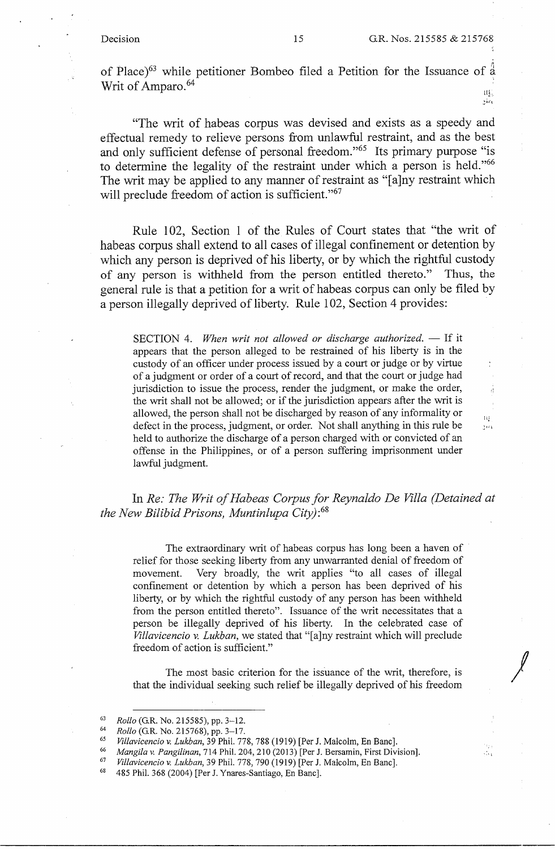of Place )63 while petitioner Bombeo filed a Petition for the Issuance of *i*  Writ of Amparo.<sup>64</sup>

!IL  $,$ i $\alpha$ 

 $\mathcal{U}$  $3001$ 

··'l

/

"The writ of habeas corpus was devised and exists as a speedy and effectual remedy to relieve persons from unlawful restraint, and as the best and only sufficient defense of personal freedom."<sup>65</sup> Its primary purpose "is to determine the legality of the restraint under which a person is held."<sup>66</sup> The writ may be applied to any manner of restraint as "[a]ny restraint which will preclude freedom of action is sufficient."<sup>67</sup>

Rule 102, Section 1 of the Rules of Court states that "the writ of habeas corpus shall extend to all cases of illegal confinement or detention by which any person is deprived of his liberty, or by which the rightful custody of any person is withheld from the person entitled thereto." Thus, the general rule is that a petition for a writ of habeas corpus can only be filed by a person illegally deprived of liberty. Rule 102, Section 4 provides:

SECTION 4. *When writ not allowed or discharge authorized.* — If it appears that the person alleged to be restrained of his liberty is in the custody of an officer under process issued by a court or judge or by virtue of a judgment or order of a court of record, and that the court or judge had jurisdiction to issue the process, render the judgment, or make the order, the writ shall not be allowed; or if the jurisdiction appears after the writ is allowed, the person shall not be discharged by reason of any informality or defect in the process, judgment, or order. Not shall anything in this rule be held to authorize the discharge of a person charged with or convicted of an offense in the Philippines, or of a person suffering imprisonment under lawful judgment.

In *Re: The Writ of Habeas Corpus for Reynaldo De Villa (Detained at the New Bilibid Prisons, Muntinlupa City):*<sup>68</sup>

The extraordinary writ of habeas corpus has long been a haven of relief for those seeking liberty from any unwarranted denial of freedom of movement. Very broadly, the writ applies "to all cases of illegal confinement or detention by which a person has been deprived of his liberty, or by which the rightful custody of any person has been withheld from the person entitled thereto". Issuance of the writ necessitates that a person be illegally deprived of his liberty. In the celebrated case of *Villavicencio* v. *Lukban,* we stated that "[a]ny restraint which will preclude freedom of action is sufficient."

The most basic criterion for the issuance of the writ, therefore, is that the individual seeking such relief be illegally deprived of his freedom

<sup>&</sup>lt;sup>63</sup> Rollo (G.R. No. 215585), pp. 3–12.<br>
<sup>64</sup> Rollo (G.R. No. 215768), pp. 3–17.<br>
<sup>65</sup> Villavicencio v. Lukban, 39 Phil. 778, 788 (1919) [Per J. Malcolm, En Banc].<br>
<sup>66</sup> Mangila v. Pangilinan, 714 Phil. 204, 210 (2013) [P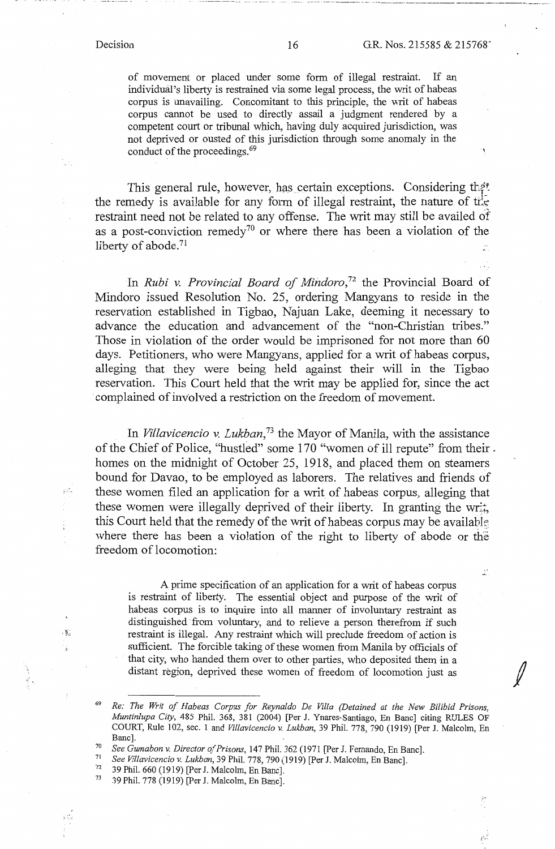$\ddot{\cdot}$ 

of movement or placed under some form of illegal restraint. If an individual's liberty is restrained via some legal process, the writ of habeas corpus is unavailing. Concomitant to this principle, the writ of habeas corpus cannot be used to directly assail a judgment rendered by a competent court or tribunal which, having duly acquired jurisdiction, was not deprived or ousted of this jurisdiction through some anomaly in the conduct of the proceedings.<sup>69</sup>

This general rule, however, has certain exceptions. Considering that the remedy is available for any form of illegal restraint, the nature of the restraint need not be related to any offense. The writ may still be availed of as a post-conviction remedy<sup>70</sup> or where there has been a violation of the liberty of abode.<sup>71</sup>

In *Rubi v. Provincial Board of Mindoro,*72 the Provincial Board of Mindoro issued Resolution No. 25, ordering Mangyans to reside in the reservation established in Tigbao, Najuan Lake, deeming it necessary to advance the education and advancement of the "non-Christian tribes." Those in violation of the order would be imprisoned for not more than 60 days. Petitioners, who were Mangyans, applied for a writ of habeas corpus, alleging that they were being held against their will in the Tigbao reservation. This Court held that the writ may be applied for, since the act complained of involved a restriction on the freedom of movement.

In *Villavicencio v. Lukban,* 73 the Mayor of Manila, with the assistance of the Chief of Police, "hustled" some 170 "women of ill repute" from their . homes on the midnight of October 25, 1918, and placed them on steamers bound for Davao, to be employed as laborers. The relatives and friends of these women filed an application for a writ of habeas corpus, alleging that these women were illegally deprived of their liberty. In granting the wr<sub>4</sub>, this Court held that the remedy of the writ of habeas corpus may be available. where there has been a violation of the right to liberty of abode or the freedom of locomotion:

A prime specification of an application for a writ of habeas corpus is restraint of liberty. The essential object and purpose of the writ of habeas corpus is to inquire into all manner of involuntary restraint as distinguished from voluntary, and to relieve a person therefrom if such restraint is illegal. Any restraint which will preclude freedom of action is sufficient. The forcible taking of these women from Manila by officials of that city, who handed them over to other parties, who deposited them in a distant region, deprived these women of freedom of locomotion just as

72 39 Phil. 660 (1919) [Per J. Malcolm, En Banc].<br> $^{73}$  39 Phil. 778 (1919) [Per J. Malcolm, En Banc].

.  $\frac{1}{2}$ 

<sup>69</sup>*Re: The Writ of Habeas Corpus for Reynaldo De Villa (Detained at the New Bi/ibid Prisons, Muntinlupa City,* 485 Phil. 368, 381 (2004) [Per J. Ynares-Santiago, En Banc] citing RULES OF COURT, Rule 102, sec. 1 and *Villavicencio v. Lukban,* 39 Phil. 778, 790 (1919) [Per J. Malcolm, En

Banc].<br><sup>70</sup> *See Gumabon v. Director of Prisons*, 147 Phil. 362 (1971 [Per J. Fernando, En Banc].<br><sup>71</sup> *See Villavicencio v. Lukban*, 39 Phil. 778, 790 (1919) [Per J. Malcolm, En Banc].<br><sup>72</sup> <sup>30 Phil. 660 (1919) [Per J. Ma</sup>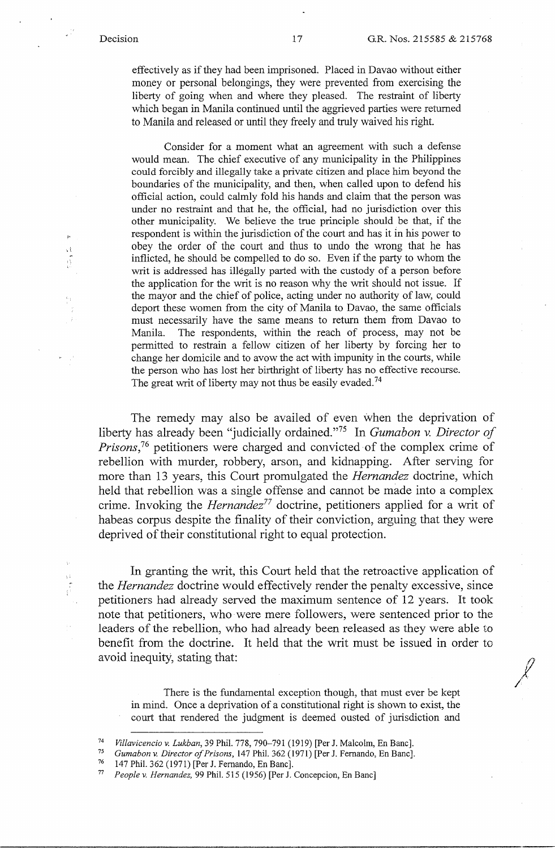$\mathcal{J}$ 

effectively as if they had been imprisoned. Placed in Davao without either money or personal belongings, they were prevented from exercising the liberty of going when and where they pleased. The restraint of liberty which began in Manila continued until the aggrieved parties were returned to Manila and released or until they freely and truly waived his right.

Consider for a moment what an agreement with such a defense would mean. The chief executive of any municipality in the Philippines could forcibly and illegally take a private citizen and place him beyond the boundaries of the municipality, and then, when called upon to defend his official action, could calmly fold his hands and claim that the person was under no restraint and that he, the official, had no jurisdiction over this other municipality. We believe the true principle should be that, if the respondent is within the jurisdiction of the court and has it in his power to obey the order of the court and thus to undo the wrong that he has inflicted, he should be compelled to do so. Even if the party to whom the writ is addressed has illegally parted with the custody of a person before the application for the writ is no reason why the writ should not issue. If the mayor and the chief of police, acting under no authority of law, could deport these women from the city of Manila to Davao, the same officials must necessarily have the same means to return them from Davao to Manila. The respondents, within the reach of process, may not be permitted to restrain a fellow citizen of her liberty by forcing her to change her domicile and to avow the act with impunity in the courts, while the person who has lost her birthright of liberty has no effective recourse. The great writ of liberty may not thus be easily evaded.<sup>74</sup>

The remedy may also be availed of even when the deprivation of liberty has already been "judicially ordained. "75 In *Gumabon v. Director of Prisons*,<sup>76</sup> petitioners were charged and convicted of the complex crime of rebellion with murder, robbery, arson, and kidnapping. After serving for more than 13 years, this Court promulgated the *Hernandez* doctrine, which held that rebellion was a single offense and cannot be made into a complex crime. Invoking the *Hernandez*<sup>77</sup> doctrine, petitioners applied for a writ of habeas corpus despite the finality of their conviction, arguing that they were deprived of their constitutional right to equal protection.

In granting the writ, this Court held that the retroactive application of the *Hernandez* doctrine would effectively render the penalty excessive, since petitioners had already served the maximum sentence of 12 years. It took note that petitioners, who were mere followers, were sentenced prior to the leaders of the rebellion, who had already been released as they were able to benefit from the doctrine. It held that the writ must be issued in order to avoid inequity, stating that:

There is the fundamental exception though, that must ever be kept in mind. Once a deprivation of a constitutional right is shown to exist, the court that rendered the judgment is deemed ousted of jurisdiction and

- <sup>74</sup> Villavicencio v. Lukban, 39 Phil. 778, 790–791 (1919) [Per J. Malcolm, En Banc].<br> *Gumabon v. Director of Prisons*, 147 Phil. 362 (1971) [Per J. Fernando, En Banc].<br>
<sup>76</sup> 147 Phil. 362 (1971) [Per J. Fernando, En Ban
- 
-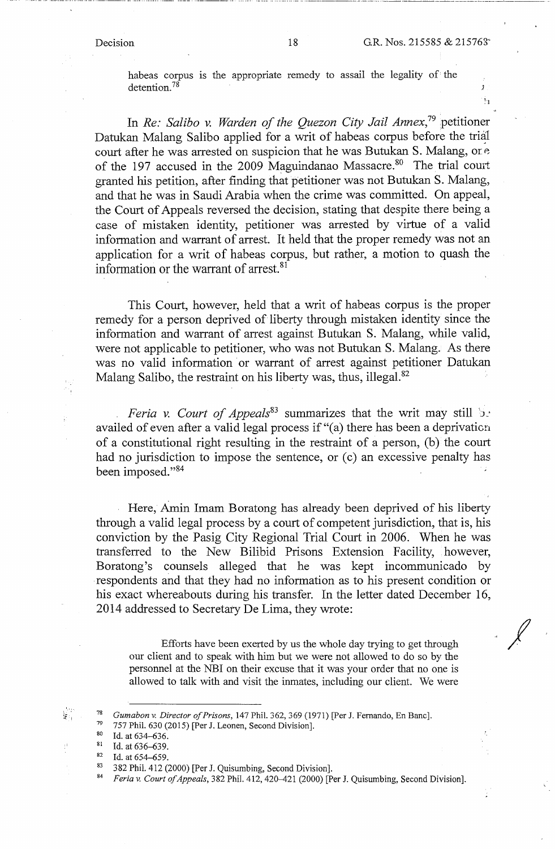;

 $\mathbf{1}_1$ 

habeas corpus is the appropriate remedy to assail the legality of the detention.<sup>78</sup>

In *Re: Saliba* v. *Warden of the Quezon City Jail Annex,* 79 petitioner Datukan Malang Salibo applied for a writ of habeas corpus before the trial court after he was arrested on suspicion that he was Butukan S. Malang, or  $e$ of the 197 accused in the 2009 Maguindanao Massacre.<sup>80</sup> The trial court granted his petition, after finding that petitioner was not Butukan S. Malang, and that he was in Saudi Arabia when the crime was committed. On appeal, the Court of Appeals reversed the decision, stating that despite there being a case of mistaken identity, petitioner was arrested by virtue of a valid information and warrant of arrest. It held that the proper remedy was not an application for a writ of habeas corpus, but rather, a motion to quash the information or the warrant of arrest. 81

This Court, however, held that a writ of habeas corpus is the proper remedy for a person deprived of liberty through mistaken identity since the information and warrant of arrest against Butukan S. Malang, while valid, were not applicable to petitioner, who was not Butukan S. Malang. As there was no valid information or warrant of arrest against petitioner Datukan Malang Salibo, the restraint on his liberty was, thus, illegal.<sup>82</sup>

*Feria v. Court of Appeals*<sup>83</sup> summarizes that the writ may still be availed of even after a valid legal process if "(a) there has been a deprivaticn of a constitutional right resulting in the restraint of a person, (b) the court had no jurisdiction to impose the sentence, or (c) an excessive penalty has been imposed."<sup>84</sup>

Here, Amin Imam Boratong has already been deprived of his liberty through a valid legal process by a court of competent jurisdiction, that is, his conviction by the Pasig City Regional Trial Court in 2006. When he was transferred to the New Bilibid Prisons Extension Facility, however, Boratong's counsels alleged that he was kept incommunicado by respondents and that they had no information as to his present condition or his exact whereabouts during his transfer. In the letter dated December 16, 2014 addressed to Secretary De Lima, they wrote: *-I* 

Efforts have been exerted by us the whole day trying to get through our client and to speak with him but we were not allowed to do so by the personnel at the NBI on their excuse that it was your order that no one is allowed to talk with and visit the inmates, including our client. We were

79 757 Phil. 630 (2015) [Per J. Leonen, Second Division].<br><sup>80</sup> Id. at 634–636.<br><sup>81</sup> Id. at 636–639

<sup>&</sup>lt;sup>78</sup> *Gumabon v. Director of Prisons*, 147 Phil. 362, 369 (1971) [Per J. Fernando, En Banc].<br><sup>79</sup> <sup>757</sup> Phil. 630 (2015) [Por J. Leonon, Second Division]

<sup>81</sup> Id. at 636–639.<br>
82 Id. at 654–659.<br>
83 382 Phil. 412 (2000) [Per J. Quisumbing, Second Division].<br>
84 *Feria v. Court of Appeals*, 382 Phil. 412, 420–421 (2000) [Per J. Quisumbing, Second Division].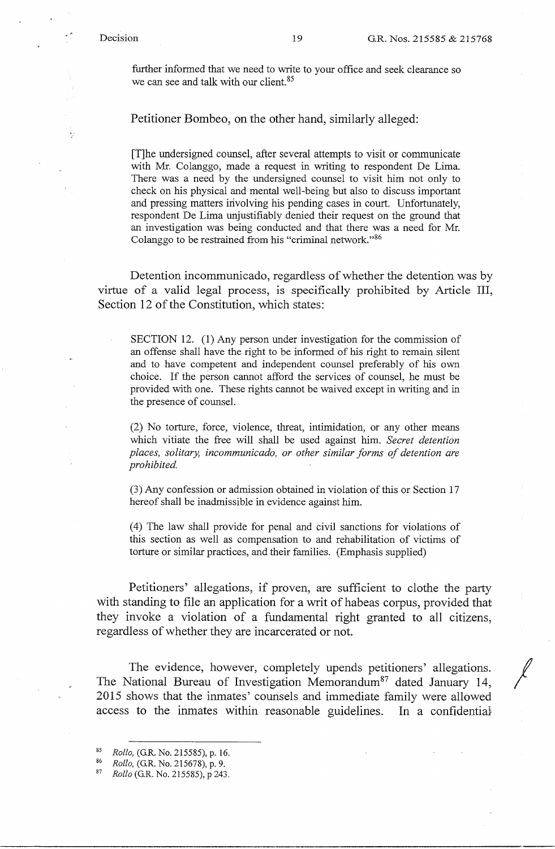Ÿ.

further informed that we need to write to your office and seek clearance so we can see and talk with our client.<sup>85</sup>

Petitioner Bombeo, on the other hand, similarly alleged:

[T]he undersigned counsel, after several attempts to visit or communicate with Mr. Colanggo, made a request in writing to respondent De Lima. There was a need by the undersigned counsel to visit him not only to check on his physical and mental well-being but also to discuss important and pressing matters involving his pending cases in court. Unfortunately, respondent De Lima unjustifiably denied their request on the ground that an investigation was being conducted and that there was a need for Mr. Colanggo to be restrained from his "criminal network."86

Detention incommunicado, regardless of whether the detention was by virtue of a valid legal process, is specifically prohibited by Article III, Section 12 of the Constitution, which states:

SECTION 12. (1) Any person under investigation for the commission of an offense shall have the right to be informed of his right to remain silent and to have competent and independent counsel preferably of his own choice. If the person cannot afford the services of counsel, he must be provided with one. These rights cannot be waived except in writing and in the presence of counsel.

(2) No torture, force, violence, threat, intimidation, or any other means which vitiate the free will shall be used against him. *Secret detention places, solitary, incommunicado, or other similar forms of detention are prohibited.* 

(3) Any confession or admission obtained in violation of this or Section 17 hereof shall be inadmissible in evidence against him.

(4) The law shall provide for penal and civil sanctions for violations of this section as well as compensation to and rehabilitation of victims of torture or similar practices, and their families. (Emphasis supplied)

Petitioners' allegations, if proven, are sufficient to clothe the party with standing to file an application for a writ of habeas corpus, provided that they invoke a violation of a fundamental right granted to all citizens, regardless of whether they are incarcerated or not.

The evidence, however, completely upends petitioners' allegations. The National Bureau of Investigation Memorandum<sup>87</sup> dated January 14, 2015 shows that the inmates' counsels and immediate family were allowed access to the inmates within reasonable guidelines. In a confidential

<sup>85</sup>*Rollo,* (G.R. No. 215585), p. 16. 86 *Rollo,* (G.R. No. 215678), p. 9. 87 *Rollo* (G.R. No. 215585), p 243.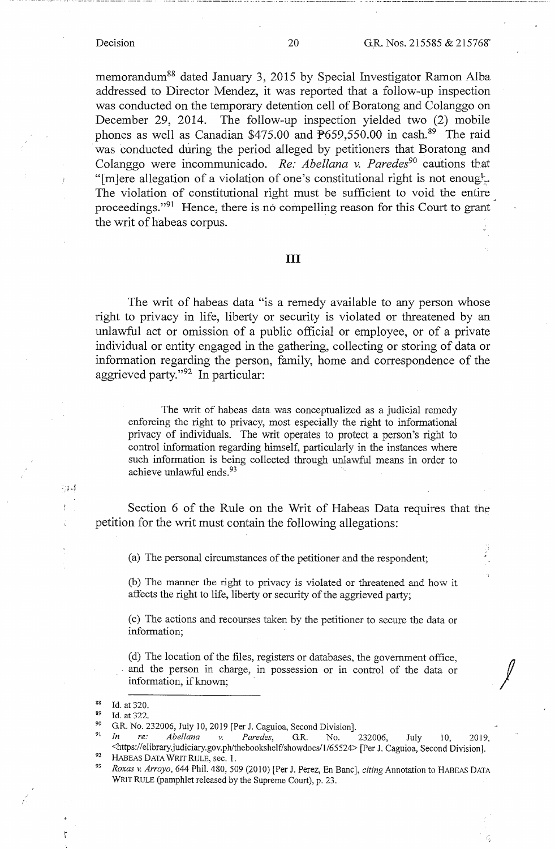·--·-- \_\_ ., .. ··-··----------··---- -· ------ ---··· -----------------·--·-·- - - -- -·------------------------

memorandum88 dated January 3, 2015 by Special Investigator Ramon Alba addressed to Director Mendez, it was reported that a follow-up inspection was conducted on the temporary detention cell of Boratong and Colanggo on December 29, 2014. The follow-up inspection yielded two (2) mobile phones as well as Canadian \$475.00 and  $\frac{12659}{,}550.00$  in cash.<sup>89</sup> The raid was conducted during the period alleged by petitioners that Boratong and Colanggo were incommunicado. Re: Abellana v. Paredes<sup>90</sup> cautions that "[m]ere allegation of a violation of one's constitutional right is not enough. The violation of constitutional right must be sufficient to void the entire proceedings."91 Hence, there is no compelling reason for this Court to grant the writ of habeas corpus.

### III

The writ of habeas data "is a remedy available to any person whose right to privacy in life, liberty or security is violated or threatened by an unlawful act or omission of a public official or employee, or of a private individual or entity engaged in the gathering, collecting or storing of data or information regarding the person, family, home and correspondence of the aggrieved party."<sup>92</sup> In particular:

The writ of habeas data was conceptualized as a judicial remedy enforcing the right to privacy, most especially the right to informational privacy of individuals. The writ operates to protect a person's right to control information regarding himself, particularly in the instances where such information is being collected through unlawful means in order to achieve unlawful ends. 93

Section 6 of the Rule on the Writ of Habeas Data requires that the petition for the writ must contain the following allegations:

(a) The personal circumstances of the petitioner and the respondent;

(b) The manner the right to privacy is violated or threatened and how it affects the right to life, liberty or security of the aggrieved party;

( c) The actions and recourses taken by the petitioner to secure the data or information;

(d) The location of the files, registers or databases, the government office, and the person in charge, in possession or in control of the data or information, if known;

-14

<sup>&</sup>lt;sup>88</sup> Id. at 320.<br><sup>89</sup> Id. at 322.<br><sup>90</sup> G.R. No. 232006, July 10, 2019 [Per J. Caguioa, Second Division].

<sup>&</sup>lt;sup>91</sup> In re: Abellana v. Paredes, G.R. No. 232006, July 10, 2019, <https://elibrary.judiciary.gov.ph/thebookshelf/showdocs/1/65524> [Per J. Caguioa, Second Division].<br>
HABEAS DATA WRIT RULE, sec. 1.<br>
<sup>93</sup> Roxas v. Arroyo, 644 Phil. 480, 509 (2010) [Per J. Perez, En Banc], *citing* Annota

WRIT RULE (pamphlet released by the Supreme Court), p. 23.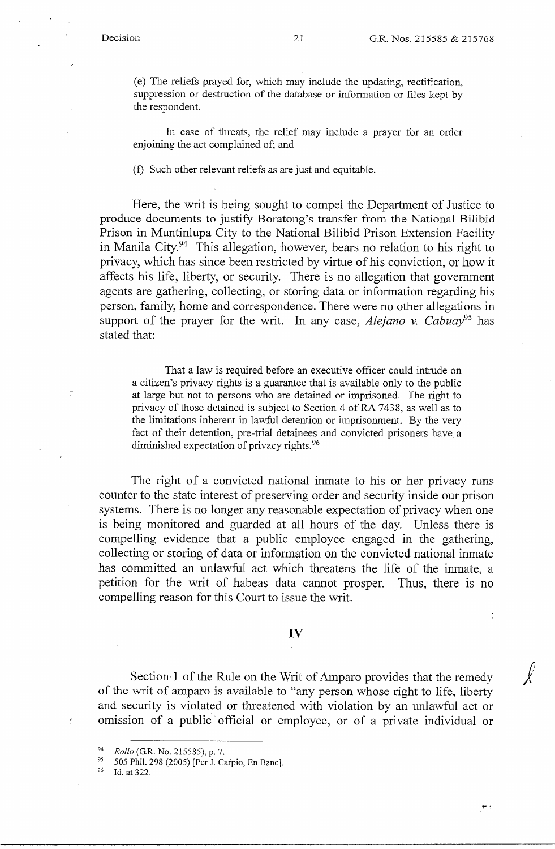$\tau$ 

(e) The reliefs prayed for, which may include the updating, rectification, suppression or destruction of the database or information or files kept by the respondent.

In case of threats, the relief may include a prayer for an order enjoining the act complained of; and

(f) Such other relevant reliefs as are just and equitable.

Here, the writ is being sought to compel the Department of Justice to produce documents to justify Boratong's transfer from the National Bilibid Prison in Muntinlupa City to the National Bilibid Prison Extension Facility in Manila City.<sup>94</sup> This allegation, however, bears no relation to his right to privacy, which has since been restricted by virtue of his conviction, or how it affects his life, liberty, or security. There is no allegation that government agents are gathering, collecting, or storing data or information regarding his person, family, home and correspondence. There were no other allegations in support of the prayer for the writ. In any case, *Alejano v. Cabuay95* has stated that:

That a law is required before an executive officer could intrude on a citizen's privacy rights is a guarantee that is available only to the public at large but not to persons who are detained or imprisoned. The right to privacy of those detained is subject to Section 4 of RA 7438, as well as to the limitations inherent in lawful detention or imprisonment. By the very fact of their detention, pre-trial detainees and convicted prisoners have. a diminished expectation of privacy rights.<sup>96</sup>

The right of a convicted national inmate to his or her privacy runs counter to the state interest of preserving order and security inside our prison systems. There is no longer any reasonable expectation of privacy when one is being monitored and guarded at all hours of the day. Unless there is compelling evidence that a public employee engaged in the gathering, collecting or storing of data or information on the convicted national inmate has committed an unlawful act which threatens the life of the inmate, a petition for the writ of habeas data cannot prosper. Thus, there is no compelling reason for this Court to issue the writ.

# IV

Section 1 of the Rule on the Writ of Amparo provides that the remedy of the writ of amparo is available to "any person whose right to life, liberty and security is violated or threatened with violation by an unlawful act or omission of a public official or employee, or of a private individual or

<sup>&</sup>lt;sup>94</sup> *Rollo* (G.R. No. 215585), p. 7.<br><sup>95</sup> 505 Phil. 298 (2005) [Per J. Carpio, En Banc].<br><sup>96</sup> Id. at 322.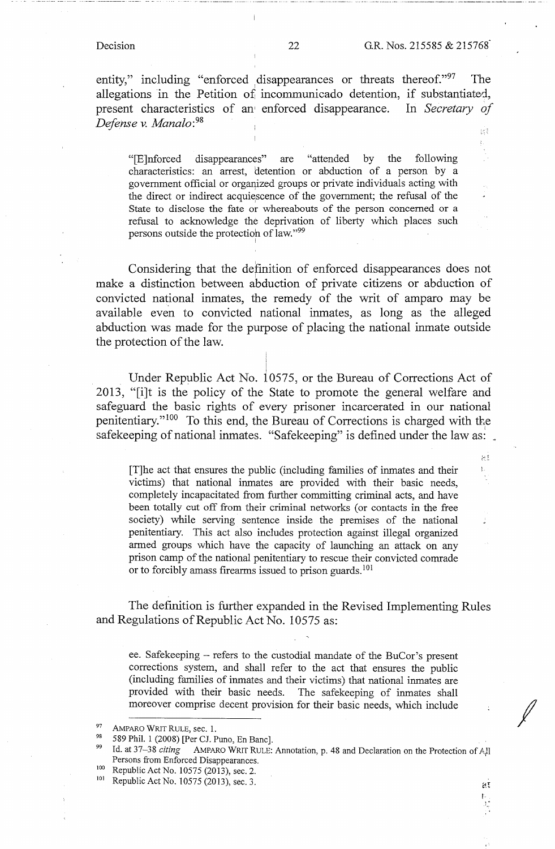Ł,

 $\approx$ 1.

Ĵ.

entity," including "enforced disappearances or threats thereof." $97$  The allegations in the Petition of incommunicado detention, if substantiated, present characteristics of an enforced disappearance. In *Secretary of Defense v. Manalo: <sup>98</sup>* 病害

"[E]nforced disappearances" are "attended by the following characteristics: an arrest, detention or abduction of a person by a government official or organized groups or private individuals acting with the direct or indirect acquiescence of the government; the refusal of the State to disclose the fate or whereabouts of the person concerned or a refusal to acknowledge the deprivation of liberty which places such persons outside the protection of law."99

Considering that the defmition of enforced disappearances does not make a distinction between abduction of private citizens or abduction of convicted national inmates, the remedy of the writ of amparo may be available even to convicted national inmates, as long as the alleged abduction was made for the purpose of placing the national inmate outside the protection of the law.

> i I i

Under Republic Act No. 10575, or the Bureau of Corrections Act of 2013, "[i]t is the policy of the State to promote the general welfare and safeguard the basic rights of every prisoner incarcerated in our national penitentiary."<sup>100</sup> To this end, the Bureau of Corrections is charged with the safekeeping of national inmates. "Safekeeping" is defined under the law as:

[T]he act that ensures the public (including families of inmates and their victims) that national inmates are provided with their basic needs, completely incapacitated from further committing criminal acts, and have been totally cut off from their criminal networks (or contacts in the free society) while serving sentence inside the premises of the national penitentiary. This act also includes protection against illegal organized armed groups which have the capacity of launching an attack on any prison camp of the national penitentiary to rescue their convicted comrade or to forcibly amass firearms issued to prison guards. 101

The definition is further expanded in the Revised Implementing Rules and Regulations of Republic Act No. 10575 as:

ee. Safekeeping - refers to the custodial mandate of the BuCor's present corrections system, and shall refer to the act that ensures the public (including families of inmates and their victims) that national inmates are provided with their basic needs. The safekeeping of inmates shall moreover comprise decent provision for their basic needs, which include

 $\mathbb{H}^{\mathbb{F}}$ 

*I* 

<sup>97</sup> AMPARO WRIT RULE, sec. 1.<br>98 589 Phil. 1 (2008) [Per CJ. Puno, En Banc].<br>99 Id. at 37–38 *citing* AMPARO WRIT RULE: Annotation, p. 48 and Declaration on the Protection of A,ll Persons from Enforced Disappearances.<br>
<sup>100</sup> Republic Act No. 10575 (2013), sec. 2.<br>
<sup>101</sup> Republic Act No. 10575 (2013), sec. 3.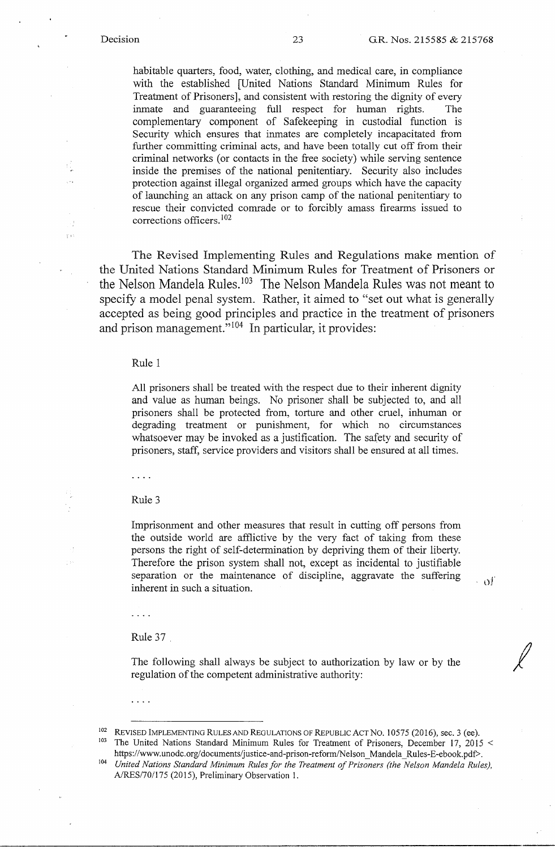ήÇ

 $\widetilde{Y}$  C

habitable quarters, food, water, clothing, and medical care, in compliance with the established [United Nations Standard Minimum Rules for Treatment of Prisoners], and consistent with restoring the dignity of every inmate and guaranteeing full respect for human rights. The complementary component of Safekeeping in custodial function is Security which ensures that inmates are completely incapacitated from further committing criminal acts, and have been totally cut off from their criminal networks (or contacts in the free society) while serving sentence inside the premises of the national penitentiary. Security also includes protection against illegal organized armed groups which have the capacity of launching an attack on any prison camp of the national penitentiary to rescue their convicted comrade or to forcibly amass firearms issued to corrections officers. <sup>102</sup>

The Revised Implementing Rules and Regulations make mention of the United Nations Standard Minimum Rules for Treatment of Prisoners or the Nelson Mandela Rules.<sup>103</sup> The Nelson Mandela Rules was not meant to specify a model penal system. Rather, it aimed to "set out what is generally accepted as being good principles and practice in the treatment of prisoners and prison management."<sup>104</sup> In particular, it provides:

#### Rule 1

All prisoners shall be treated with the respect due to their inherent dignity and value as human beings. No prisoner shall be subjected to, and all prisoners shall be protected from, torture and other cruel, inhuman or degrading treatment or punishment, for which no circumstances whatsoever may be invoked as a justification. The safety and security of prisoners, staff, service providers and visitors shall be ensured at all times.

 $\ldots$  .

#### Rule 3

Imprisonment and other measures that result in cutting off persons from the outside world are afflictive by the very fact of taking from these persons the right of self-determination by depriving them of their liberty. Therefore the prison system shall not, except as incidental to justifiable separation or the maintenance of discipline, aggravate the suffering  $\qquad$  of

. . . .

Rule 37.

The following shall always be subject to authorization by law or by the regulation of the competent administrative authority:

<sup>102</sup> REVISED IMPLEMENTING RULES AND REGULATIONS OF REPUBLIC ACT NO. 10575 (2016), sec. 3 (ee). <sup>103</sup> The United Nations Standard Minimum Rules for Treatment of Prisoners, December 17, 2015 <

*I* 

https://www.unodc.org/documents/justice-and-prison-reform/Nelson\_Mandela\_Rules-E-ebook.pdf>.<br><sup>104</sup> *United Nations Standard Minimum Rules for the Treatment of Prisoners (the Nelson Mandela Rules)*, A/RES/70/175 (2015), Preliminary Observation 1.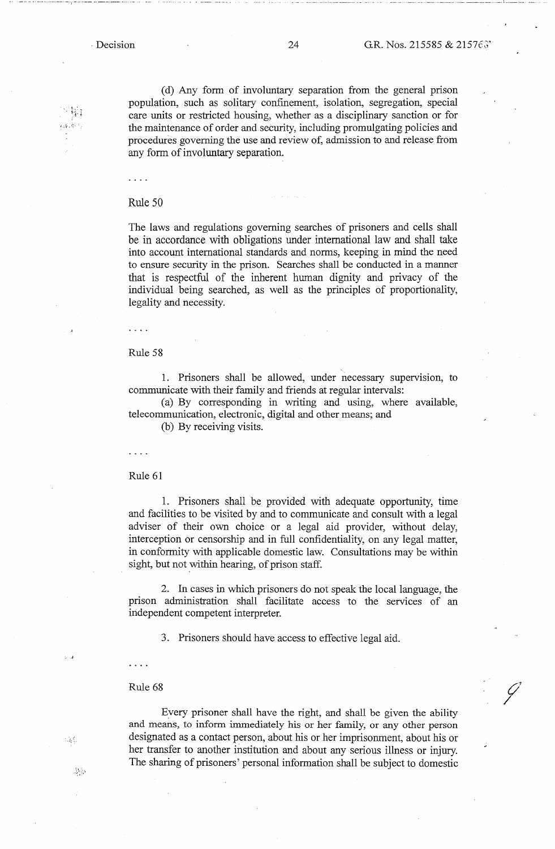r *.:k.* ,~ :

- 월급

[ \_\_\_\_\_\_\_\_\_ ---·

 ${\mathscr{O}}$ *I* 

( d) Any form of involuntary separation from the general prison population, such as solitary confinement, isolation, segregation, special care units or restricted housing, whether as a disciplinary sanction or for the maintenance of order and security, including promulgating policies and procedures governing the use and review of, admission to and release from any form of involuntary separation.

 $\cdots$ 

### Rule 50

The laws and regulations governing searches of prisoners and cells shall be in accordance with obligations under international law and shall take into account international standards and norms, keeping in mind the need to ensure security in the prison. Searches shall be conducted in a manner that is respectful of the inherent human dignity and privacy of the individual being searched, as well as the principles of proportionality, legality and necessity.

Rule 58

 $\ldots$  .

1. Prisoners shall be allowed, under necessary supervision, to communicate with their family and friends at regular intervals:

(a) By corresponding in writing and using, where available, telecommunication, electronic, digital and other means; and

(b) By receiving visits.

. . . .

Rule 61

1. Prisoners shall be provided with adequate opportunity, time and facilities to be visited by and to communicate and consult with a legal adviser of their own choice or a legal aid provider, without delay, interception or censorship and in full confidentiality, on any legal matter, in conformity with applicable domestic law. Consultations may be within sight, but not within hearing, of prison staff.

2. In cases in which prisoners do not speak the local language, the prison administration shall facilitate access to the services of an independent competent interpreter.

3. Prisoners should have access to effective legal aid .

#### Rule 68

. . . .

. ,

 $\sim 8\%$ 

-55

Every prisoner shall have the right, and shall be given the ability and means, to inform immediately his or her family, or any other person designated as a contact person, about his or her imprisonment, about his or her transfer to another institution and about any serious illness or injury. The sharing of prisoners' personal information shall be subject to domestic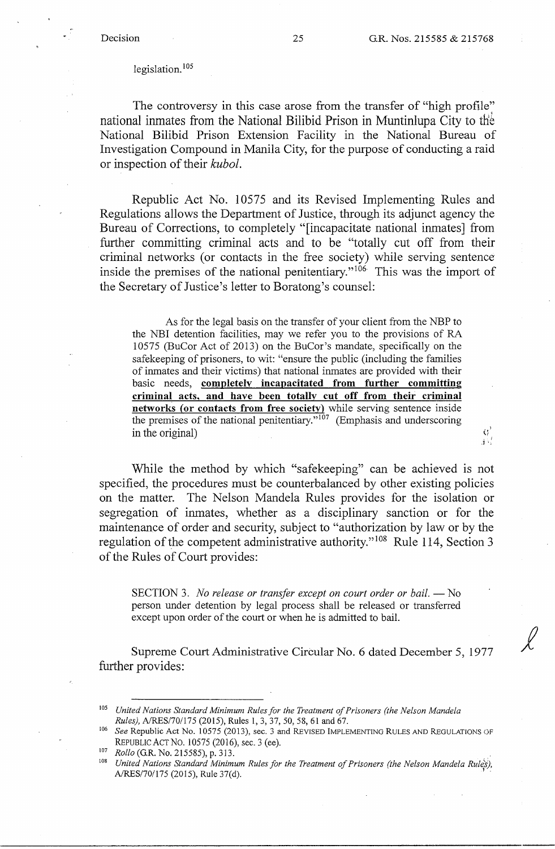$Q'$ ЛV

## legislation.<sup>105</sup>

The controversy in this case arose from the transfer of "high profile" national inmates from the National Bilibid Prison in Muntinlupa City to th'b National Bilibid Prison Extension Facility in the National Bureau of Investigation Compound in Manila City, for the purpose of conducting a raid or inspection of their *kubol.* 

Republic Act No. 10575 and its Revised Implementing Rules and Regulations allows the Department of Justice, through its adjunct agency the Bureau of Corrections, to completely "[incapacitate national inmates] from further committing criminal acts and to be "totally cut off from their criminal networks (or contacts in the free society) while serving sentence inside the premises of the national penitentiary."<sup>106</sup> This was the import of the Secretary of Justice's letter to Boratong's counsel:

As for the legal basis on the transfer of your client from the NBP to the NBI detention facilities, may we refer you to the provisions of RA 10575 (BuCor Act of 2013) on the BuCor's mandate, specifically on the safekeeping of prisoners, to wit: "ensure the public (including the families of inmates and their victims) that national inmates are provided with their basic needs, **completely incapacitated from further committing criminal acts, and have been totally cut off from their criminal networks {or contacts from free society)** while serving sentence inside the premises of the national penitentiary."<sup>107</sup> (Emphasis and underscoring in the original)

While the method by which "safekeeping" can be achieved is not specified, the procedures must be counterbalanced by other existing policies on the matter. The Nelson Mandela Rules provides for the isolation or segregation of inmates, whether as a disciplinary sanction or for the maintenance of order and security, subject to "authorization by law or by the regulation of the competent administrative authority." 108 Rule 114, Section 3 of the Rules of Court provides:

SECTION 3. *No release or transfer except on court order or bail.* — No person under detention by legal process shall be released or transferred except upon order of the court or when he is admitted to bail.

Supreme Court Administrative Circular No. 6 dated December 5, 1977 further provides:

<sup>105</sup>*United Nations Standard Minimum Rules for the Treatment of Prisoners (the Nelson Mandela* 

<sup>&</sup>lt;sup>106</sup> See Republic Act No. 10575 (2013), sec. 3 and REVISED IMPLEMENTING RULES AND REGULATIONS OF REPUBLIC ACT NO. 10575 (2016), sec. 3 (ee).<br><sup>107</sup> *Rollo* (G.R. No. 215585), p. 313.<br><sup>108</sup> *United Nations Standard Minimum Rules for the Treatment of Prisoners (the Nelson Mandela Rules)*,

A/RES/70/175 (2015), Rule 37(d).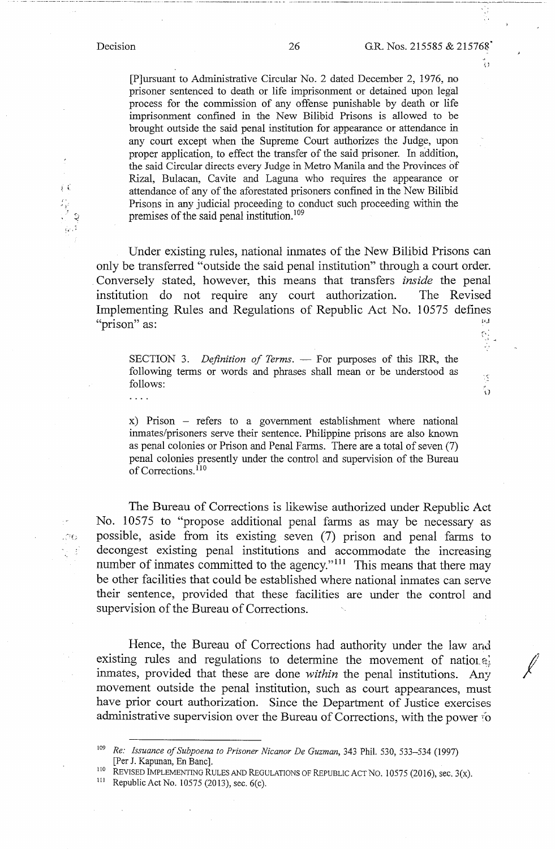$\overline{1}$  . . .

,. . .,,.l.' ,  $^{\prime\prime}$ 

 $\tilde{\mathcal{E}}$ ្ងៃ

[P]ursuant to Administrative Circular No. 2 dated December 2, 1976, no prisoner sentenced to death or life imprisonment or detained upon legal process for the commission of any offense punishable by death or life imprisonment confined in the New Bilibid Prisons is allowed to be brought outside the said penal institution for appearance or attendance in any court except when the Supreme Court authorizes the Judge, upon proper application, to effect the transfer of the said prisoner. In addition, the said Circular directs every Judge in Metro Manila and the Provinces of Rizal, Bulacan, Cavite and Laguna who requires the appearance or attendance of any of the aforestated prisoners confined in the New Bilibid Prisons in any judicial proceeding to conduct such proceeding within the premises of the said penal institution.<sup>109</sup>

Under existing rules, national inmates of the New Bilibid Prisons can only be transferred "outside the said penal institution" through a court order. Conversely stated, however, this means that transfers *inside* the penal institution do not require any court authorization. The Revised Implementing Rules and Regulations of Republic Act No. 10575 defines<br>"prison" as: "prison" as: 'i <sup>~</sup>

SECTION 3. *Definition of Terms*. — For purposes of this IRR, the following terms or words and phrases shall mean or be understood as follows:

x) Prison - refers to a government establishment where national inmates/prisoners serve their sentence. Philippine prisons are also known as penal colonies or Prison and Penal Farms. There are a total of seven (7) penal colonies presently under the control and supervision of the Bureau of Corrections.<sup>110</sup>

The Bureau of Corrections is likewise authorized under Republic Act No. 10575 to "propose additional penal farms as may be necessary as  $\infty$  possible, aside from its existing seven (7) prison and penal farms to decongest existing penal institutions and accommodate the increasing number of inmates committed to the agency."<sup>111</sup> This means that there may be other facilities that could be established where national inmates can serve their sentence, provided that these facilities are under the control and supervision of the Bureau of Corrections.

Hence, the Bureau of Corrections had authority under the law and existing rules and regulations to determine the movement of nation  $a_{\mu}$ inmates, provided that these are done *within* the penal institutions. Any movement outside the penal institution, such as court appearances, must have prior court authorization. Since the Department of Justice exercises administrative supervision over the Bureau of Corrections, with the power i'o

<sup>110</sup> REVISED IMPLEMENTING RULES AND REGULATIONS OF REPUBLIC ACT NO. 10575 (2016), sec. 3(x).<br><sup>111</sup> Republic Act No. 10575 (2013), sec. 6(c)

<sup>109</sup>*Re: Issuance of Subpoena to Prisoner Nicanor De Guzman,* 343 Phil. 530, 533-534 (1997) [Per J. Kapunan, En Banc].

Republic Act No. 10575 (2013), sec. 6(c).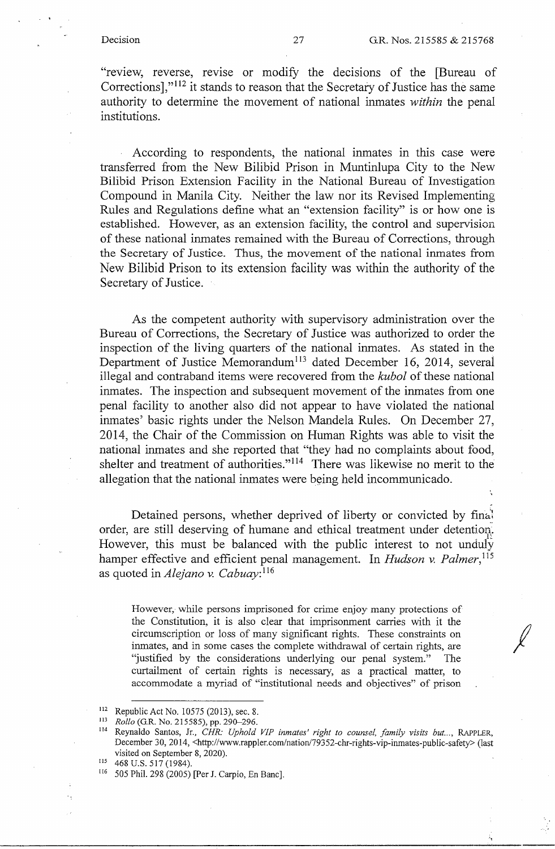*I* 

"review, reverse, revise or modify the decisions of the [Bureau of Corrections],"<sup>112</sup> it stands to reason that the Secretary of Justice has the same authority to determine the movement of national inmates *within* the penal institutions.

According to respondents, the national inmates in this case were transferred from the New Bilibid Prison in Muntinlupa City to the New Bilibid Prison Extension Facility in the National Bureau of Investigation Compound in Manila City. Neither the law nor its Revised Implementing Rules and Regulations define what an "extension facility" is or how one is established. However, as an extension facility, the control and supervision of these national inmates remained with the Bureau of Corrections, through the Secretary of Justice. Thus, the movement of the national inmates from New Bilibid Prison to its extension facility was within the authority of the Secretary of Justice.

As the competent authority with supervisory administration over the Bureau of Corrections, the Secretary of Justice was authorized to order the inspection of the living quarters of the national inmates. As stated in the Department of Justice Memorandum<sup>113</sup> dated December 16, 2014, several illegal and contraband items were recovered from the *kubol* of these national inmates. The inspection and subsequent movement of the inmates from one penal facility to another also did not appear to have violated the national inmates' basic rights under the Nelson Mandela Rules. On December 27, 2014, the Chair of the Commission on Human Rights was able to visit the national inmates and she reported that "they had no complaints about food, shelter and treatment of authorities."<sup>114</sup> There was likewise no merit to the allegation that the national inmates were being held incommunicado.

Detained persons, whether deprived of liberty or convicted by fina! order, are still deserving of humane and ethical treatment under detention. However, this must be balanced with the public interest to not unduly hamper effective and efficient penal management. In *Hudson v. Palmer*,<sup>115</sup> as quoted in *Alejano v. Cabuay*:<sup>116</sup>

However, while persons imprisoned for crime enjoy many protections of the Constitution, it is also clear that imprisonment carries with it the circumscription or loss of many significant rights. These constraints on inmates, and in some cases the complete withdrawal of certain rights, are "justified by the considerations underlying our penal system." The curtailment of certain rights is necessary, as a practical matter, to accommodate a myriad of "institutional needs and objectives" of prison

<sup>112</sup>Republic Act No. I 0575 (2013), sec. 8. 113 *Rollo* (G.R. No. 215585), pp. 290-296. 114 Reynaldo Santos, Jr., *CHR: Uphold VIP inmates' right to counsel, family visits but ... ,* RAPPLER, December 30, 2014, <http://www.rappler.com/nation/79352-chr-rights-vip-inmates-public-safety> (last visited on September 8, 2020). 115 468 U.S. 517 (1984).

<sup>&</sup>lt;sup>116</sup> 505 Phil. 298 (2005) [Per J. Carpio, En Banc].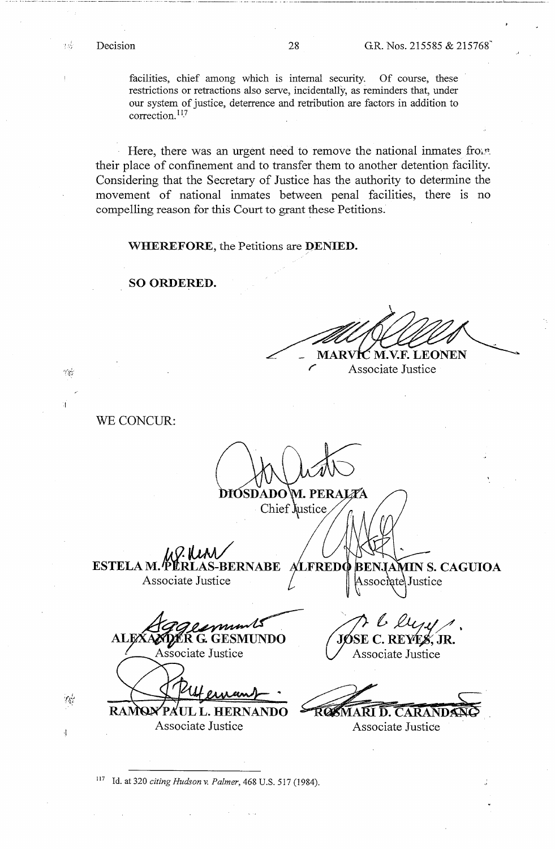าธุ์

ينادم

ini.

 $\frac{1}{2}$ 

facilities, chief among which is internal security. Of course, these restrictions or retractions also serve, incidentally, as reminders that, under our system of justice, deterrence and retribution are factors in addition to correction.<sup>117</sup>

Here, there was an urgent need to remove the national inmates from their place of confinement and to transfer them to another detention facility. Considering that the Secretary of Justice has the authority to determine the movement of national inmates between penal facilities, there is no compelling reason for this Court to grant these Petitions.

**WHEREFORE,** the Petitions are **DENIED.** 

**SO ORDERED.** 

..... ··---·-····------------··· --------------·-·-----····---·-·--------·---·- --- --------·--- --·--·--------

**C M.V.F. LEONEN** MARV

Associate Justice

WE CONCUR:

DIÓSDADO\M. PERAI Chief justice

**ESTELAM. PLRLAS-BERNABE ALFREDO** Associate Justice

BENJA **MIN S. CAGUIOA** Associate Justice

ÆR G. GE SMUNDO Associate Justice

.. **PAUL L. HERNANDO** Associate Justice Associate Justice

pl duy . E C. REYE*S*, JR. Associate Justice

 $\overline{\text{RQSMART}}$  **D. CARAND** 

<sup>117</sup>Id. at 320 *citing Hudson* v. *Palmer,* 468 U.S. 517 (1984).